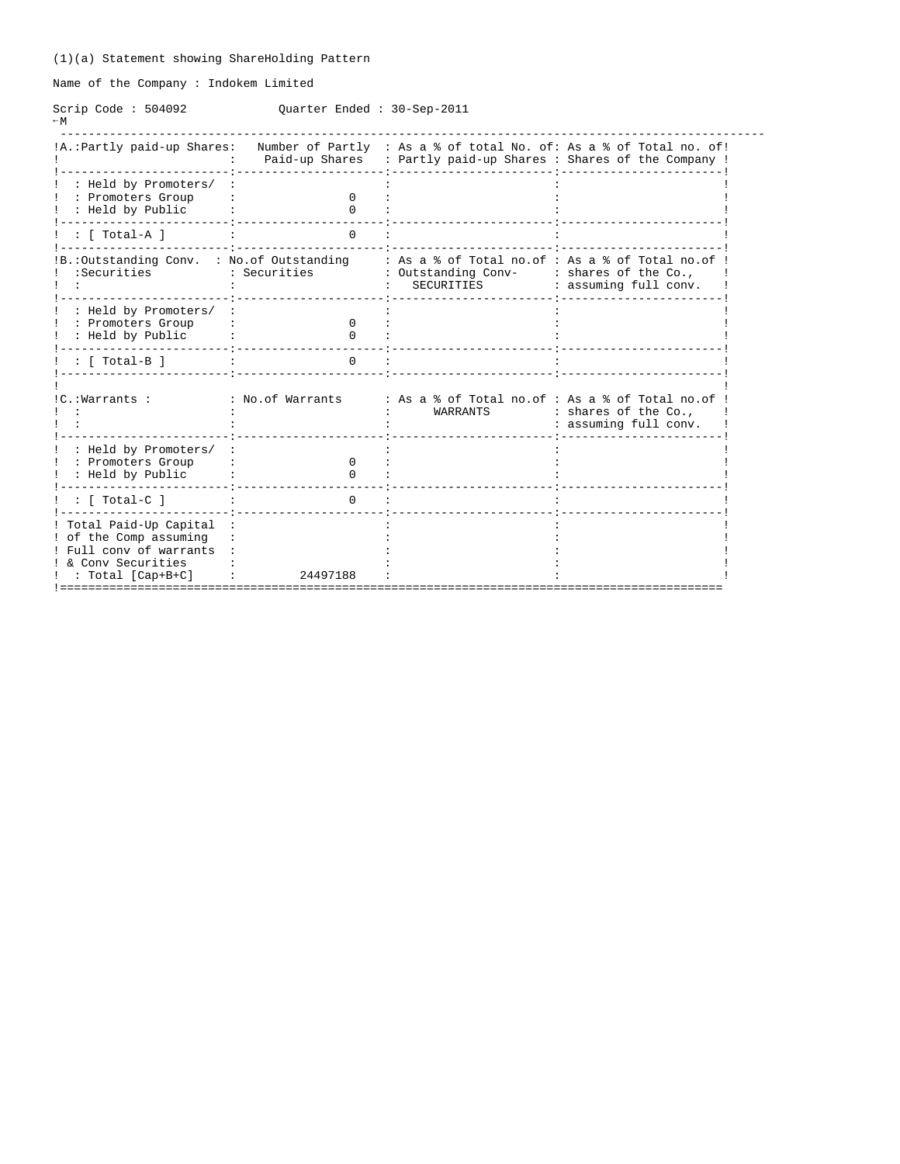Name of the Company : Indokem Limited

Scrip Code : 504092 Quarter Ended : 30-Sep-2011  $-W$ 

| !A.: Partly paid-up Shares:                                                                                              |                              | Paid-up Shares : Partly paid-up Shares : Shares of the Company !                     | Number of Partly : As a % of total No. of: As a % of Total no. of! |
|--------------------------------------------------------------------------------------------------------------------------|------------------------------|--------------------------------------------------------------------------------------|--------------------------------------------------------------------|
| : Held by Promoters/<br>: Promoters Group<br>: Held by Public                                                            | $\Omega$<br><sup>0</sup>     |                                                                                      |                                                                    |
| : [ Total-A ]                                                                                                            | $\Omega$                     |                                                                                      |                                                                    |
| IB.: Outstanding Conv. : No. of Outstanding<br>:Securities                                                               | : Securities                 | : As a % of Total no.of : As a % of Total no.of<br>: Outstanding Conv-<br>SECURITIES | : shares of the Co.,<br>: assuming full conv.                      |
| : Held by Promoters/<br>: Promoters Group<br>: Held by Public                                                            | <sup>0</sup><br><sup>n</sup> |                                                                                      |                                                                    |
| : [ Total-B ]                                                                                                            | $\Omega$                     |                                                                                      |                                                                    |
| !C.:Warrants :                                                                                                           | : No.of Warrants             | : As a % of Total no.of : As a % of Total no.of<br>WARRANTS                          | : shares of the Co.,<br>: assuming full conv.                      |
| : Held by Promoters/<br>: Promoters Group<br>: Held by Public                                                            | $\Omega$<br><sup>0</sup>     |                                                                                      |                                                                    |
| : [ Total-C ]                                                                                                            | $\Omega$                     |                                                                                      |                                                                    |
| ! Total Paid-Up Capital<br>! of the Comp assuming<br>! Full conv of warrants<br>! & Conv Securities<br>: Total [Cap+B+C] | 24497188                     |                                                                                      |                                                                    |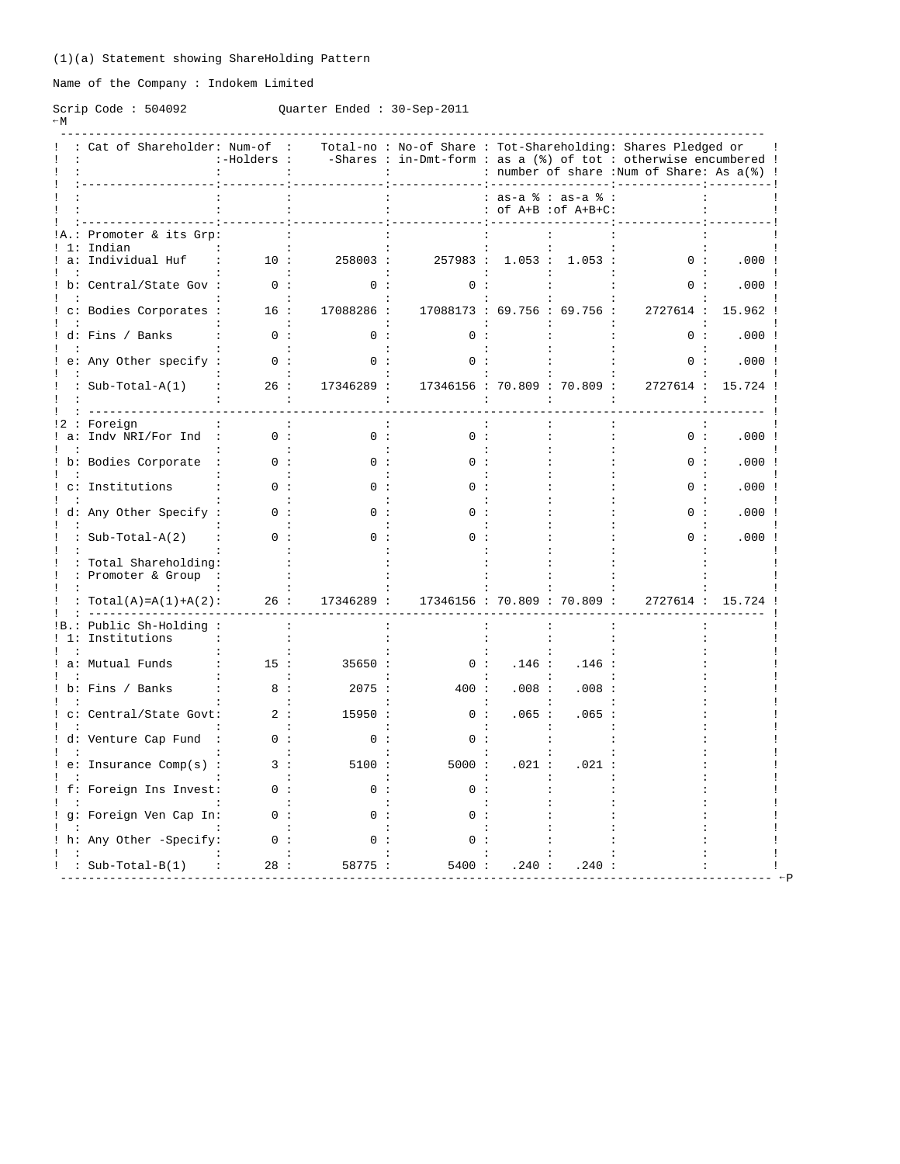Name of the Company : Indokem Limited

### Scrip Code : 504092 Quarter Ended : 30-Sep-2011

| ۱<br>× |  |  |
|--------|--|--|
|--------|--|--|

----------------------------------------------------------------------------------------------------

| gaar cer milaca - |  |  | UUUUVUU1 |  |
|-------------------|--|--|----------|--|
|                   |  |  |          |  |
|                   |  |  |          |  |
|                   |  |  |          |  |

| Cat of Shareholder: Num-of                    | :-Holders : |            |                              | Total-no: No-of Share: Tot-Shareholding: Shares Pledged or<br>-Shares : in-Dmt-form : as a $(*)$ of tot : otherwise encumbered !<br>: number of share : Num of Share: As a(%) ! |                                             |           |                  |
|-----------------------------------------------|-------------|------------|------------------------------|---------------------------------------------------------------------------------------------------------------------------------------------------------------------------------|---------------------------------------------|-----------|------------------|
|                                               |             |            |                              |                                                                                                                                                                                 | : as-a % : as-a % :<br>: of A+B : of A+B+C: |           |                  |
| !A.: Promoter & its Grp:<br>1: Indian         |             |            |                              |                                                                                                                                                                                 |                                             |           |                  |
| ! a: Individual Huf                           | 10:         | 258003:    |                              | 257983 : 1.053 :                                                                                                                                                                | 1.053:                                      | 0:        | .000:            |
| ! b: Central/State Gov :                      | 0:          | 0:         | 0:                           |                                                                                                                                                                                 | $\ddot{\phantom{a}}$                        | 0:        | .000:            |
| : c: Bodies Corporates :                      | 16:         | 17088286 : | 17088173 : 69.756 : 69.756 : |                                                                                                                                                                                 |                                             | 2727614 : | 15.962 !         |
| ! d: Fins / Banks                             | 0:          | $\cap$     |                              |                                                                                                                                                                                 |                                             | 0:        | .000:            |
| e: Any Other specify :                        | 0:          | 0:         | 0:                           |                                                                                                                                                                                 |                                             | 0:        | .000:            |
| : $Sub-Total-A(1)$                            | 26:         | 17346289 : | 17346156 : 70.809 : 70.809 : |                                                                                                                                                                                 |                                             | 2727614:  | 15.724 !         |
|                                               |             |            |                              |                                                                                                                                                                                 |                                             |           |                  |
| !2 : Foreign<br>a: Indv NRI/For Ind :         | 0:          | 0:         | 0:                           |                                                                                                                                                                                 |                                             | 0:        | .000:            |
| ! b: Bodies Corporate                         | 0:          | 0 :        | ი :                          |                                                                                                                                                                                 |                                             | 0:        | .000:            |
| c: Institutions                               |             |            |                              |                                                                                                                                                                                 |                                             | n :       | .000:            |
| d: Any Other Specify :                        |             |            |                              |                                                                                                                                                                                 |                                             |           | .000:            |
| : $Sub-Total-A(2)$                            | 0:          |            |                              |                                                                                                                                                                                 |                                             | 0:        | .000:            |
| : Total Shareholding:<br>: Promoter & Group : |             |            |                              |                                                                                                                                                                                 |                                             |           |                  |
| : $Total(A) = A(1) + A(2)$ :                  | 26:         | 17346289 : | 17346156 : 70.809 : 70.809 : |                                                                                                                                                                                 |                                             |           | 2727614 : 15.724 |
| Public Sh-Holding:<br>! 1: Institutions       |             |            |                              |                                                                                                                                                                                 |                                             |           |                  |
| a: Mutual Funds                               | 15:         | 35650:     | 0:                           | .146:                                                                                                                                                                           | .146                                        |           |                  |
| ! b: Fins / Banks                             | 8:          | 2075:      | 400 :                        | .008:                                                                                                                                                                           | .008:                                       |           |                  |
| c: Central/State Govt:                        | 2:          | 15950 :    | 0:                           | .065 :                                                                                                                                                                          | .065:                                       |           |                  |
| ! d: Venture Cap Fund                         | 0:          | 0:         | 0:                           |                                                                                                                                                                                 |                                             |           |                  |
| ! e: Insurance Comp(s) :                      | 3 :         | 5100:      | 5000:                        | .021:                                                                                                                                                                           | .021                                        |           |                  |
| ! f: Foreign Ins Invest:                      |             | 0.         | n.                           |                                                                                                                                                                                 |                                             |           |                  |
| ! g: Foreign Ven Cap In:                      | ი :         |            |                              |                                                                                                                                                                                 |                                             |           |                  |
| : h: Any Other -Specify:                      | 0:          | 0:         | ი :                          |                                                                                                                                                                                 |                                             |           |                  |
| : : Sub-Total-B(1)                            | 28:         | 58775:     | 5400:                        | .240 :                                                                                                                                                                          | .240:                                       |           |                  |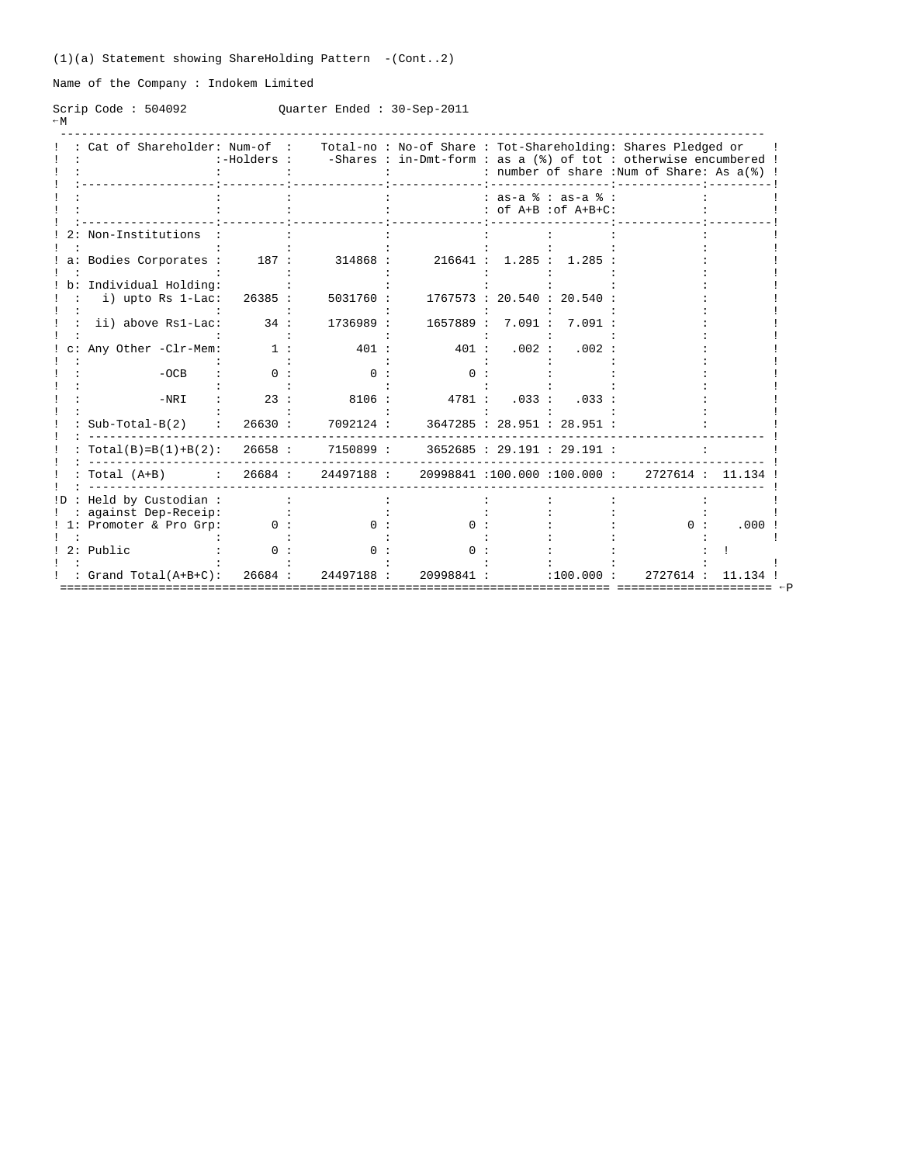(1)(a) Statement showing ShareHolding Pattern -(Cont..2)

Name of the Company : Indokem Limited

Scrip Code : 504092 Quarter Ended : 30-Sep-2011  $-W$ 

|     | Cat of Shareholder: Num-of :                                  | :-Holders : |           |            |        |                                               | Total-no: No-of Share: Tot-Shareholding: Shares Pledged or<br>-Shares : in-Dmt-form : as a (%) of tot : otherwise encumbered !<br>: number of share : Num of Share: As a(%) ! |       |
|-----|---------------------------------------------------------------|-------------|-----------|------------|--------|-----------------------------------------------|-------------------------------------------------------------------------------------------------------------------------------------------------------------------------------|-------|
|     |                                                               |             |           |            |        | $: as-a$ $: as-a$ $:$<br>: of A+B : of A+B+C: |                                                                                                                                                                               |       |
|     | Non-Institutions                                              |             |           |            |        |                                               |                                                                                                                                                                               |       |
|     | a: Bodies Corporates :                                        | 187 :       | 314868 :  | 216641:    | 1.285: | 1.285                                         |                                                                                                                                                                               |       |
|     | Individual Holding:<br>i) upto Rs 1-Lac:                      | 26385 :     | 5031760 : |            |        | 1767573 : 20.540 : 20.540                     |                                                                                                                                                                               |       |
|     | ii) above Rs1-Lac:                                            | 34:         | 1736989 : | 1657889 :  | 7.091: | 7.091:                                        |                                                                                                                                                                               |       |
|     | Any Other -Clr-Mem:                                           | 1:          | 401 :     | 401 :      | .002:  | .002:                                         |                                                                                                                                                                               |       |
|     | $-OCB$                                                        | ი :         | ი :       | n :        |        |                                               |                                                                                                                                                                               |       |
|     | $-NRI$                                                        | 23:         | 8106:     | 4781:      | .033:  | .033:                                         |                                                                                                                                                                               |       |
|     | $Sub-Total-B(2)$                                              | 26630:      | 7092124 : |            |        | 3647285: 28.951: 28.951:                      |                                                                                                                                                                               |       |
|     | $Total(B)=B(1)+B(2): 26658:$                                  |             | 7150899 : |            |        | 3652685: 29.191: 29.191:                      |                                                                                                                                                                               |       |
|     | Total (A+B) : 26684 : 24497188 : 20998841 :100.000 :100.000 : |             |           |            |        |                                               | 2727614 : 11.134                                                                                                                                                              |       |
| !D. | Held by Custodian:                                            |             |           |            |        |                                               |                                                                                                                                                                               |       |
| 1:  | against Dep-Receip:<br>Promoter & Pro Grp:                    | 0:          | n :       | 0 :        |        |                                               | ი :                                                                                                                                                                           | .000  |
|     | 2: Public                                                     |             | n.        |            |        |                                               |                                                                                                                                                                               |       |
|     | : $Grand Total(A+B+C):$                                       | 26684:      | 24497188: | 20998841 : |        | :100.000:                                     | 2727614 :                                                                                                                                                                     | 11.13 |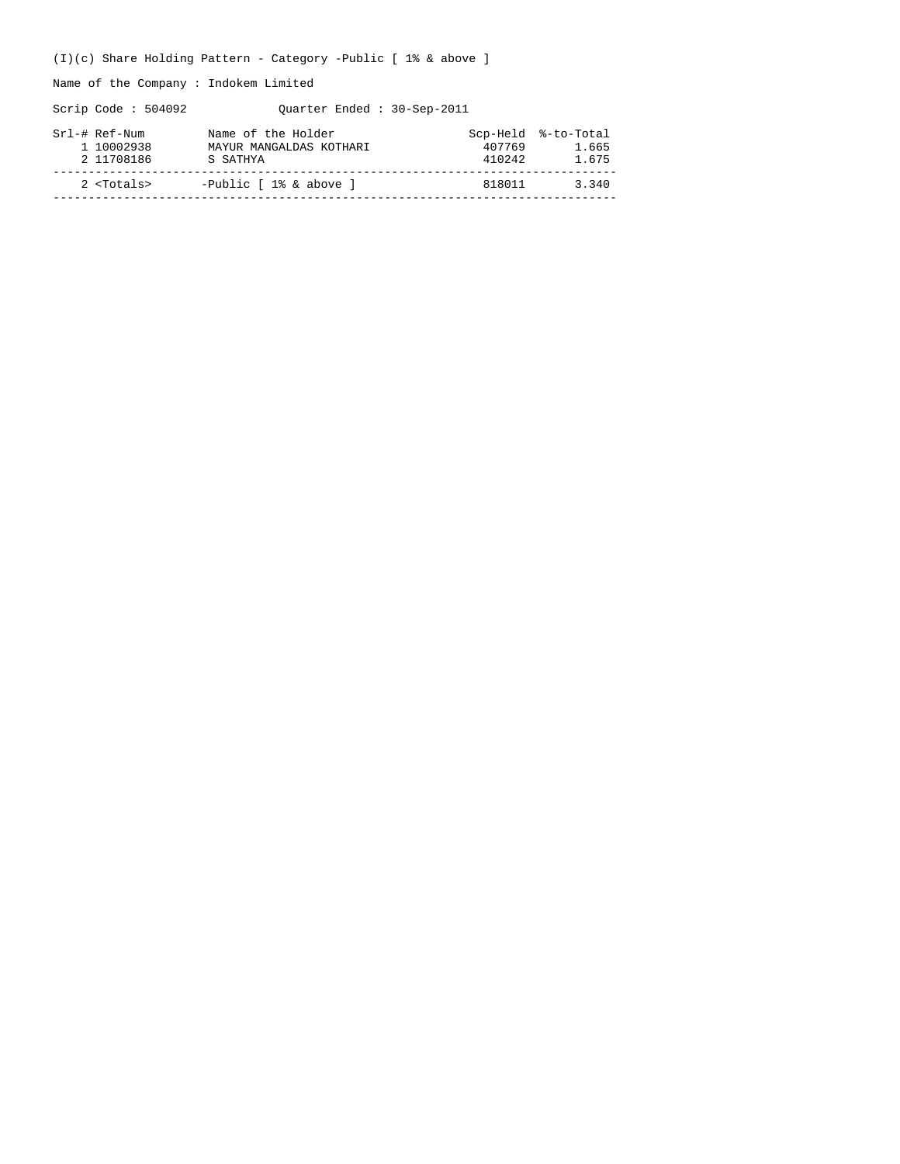(I)(c) Share Holding Pattern - Category -Public [ 1% & above ]

Name of the Company : Indokem Limited

Scrip Code : 504092 Quarter Ended : 30-Sep-2011

| Srl-# Ref-Num<br>1 10002938<br>2 11708186 | Name of the Holder<br>MAYUR MANGALDAS KOTHARI<br>S SATHYA | 407769<br>410242 | Scp-Held %-to-Total<br>1.665<br>1.675 |
|-------------------------------------------|-----------------------------------------------------------|------------------|---------------------------------------|
| $2$ $<$ Totals>                           | -Public [ 1% & above ]                                    | 818011           | 3.340                                 |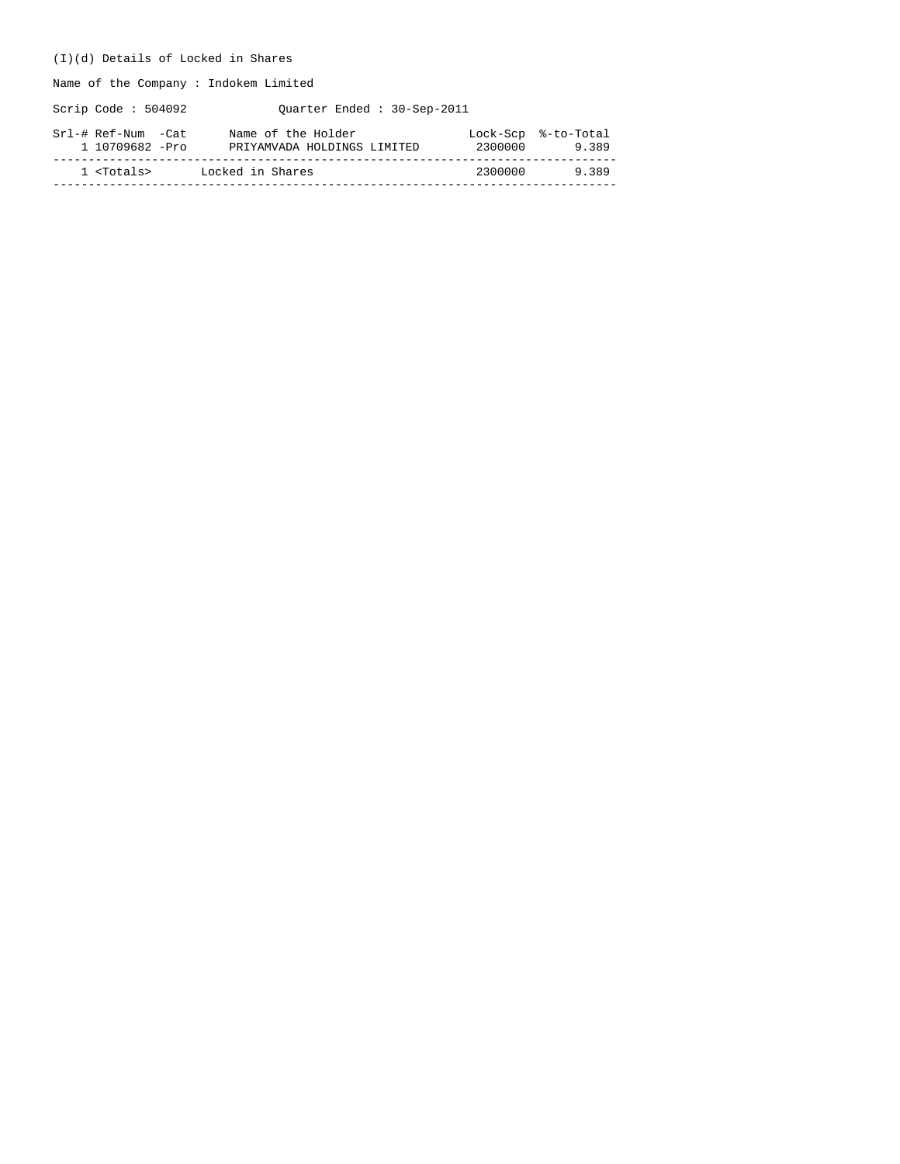### (I)(d) Details of Locked in Shares

Name of the Company : Indokem Limited

Scrip Code : 504092 Quarter Ended : 30-Sep-2011

| Srl-# Ref-Num -Cat  | Name of the Holder          | 2300000 | Lock-Scp %-to-Total |
|---------------------|-----------------------------|---------|---------------------|
| 1 10709682 -Pro     | PRIYAMVADA HOLDINGS LIMITED |         | 9.389               |
| 1 <totals></totals> | Locked in Shares            | 2300000 | 9389                |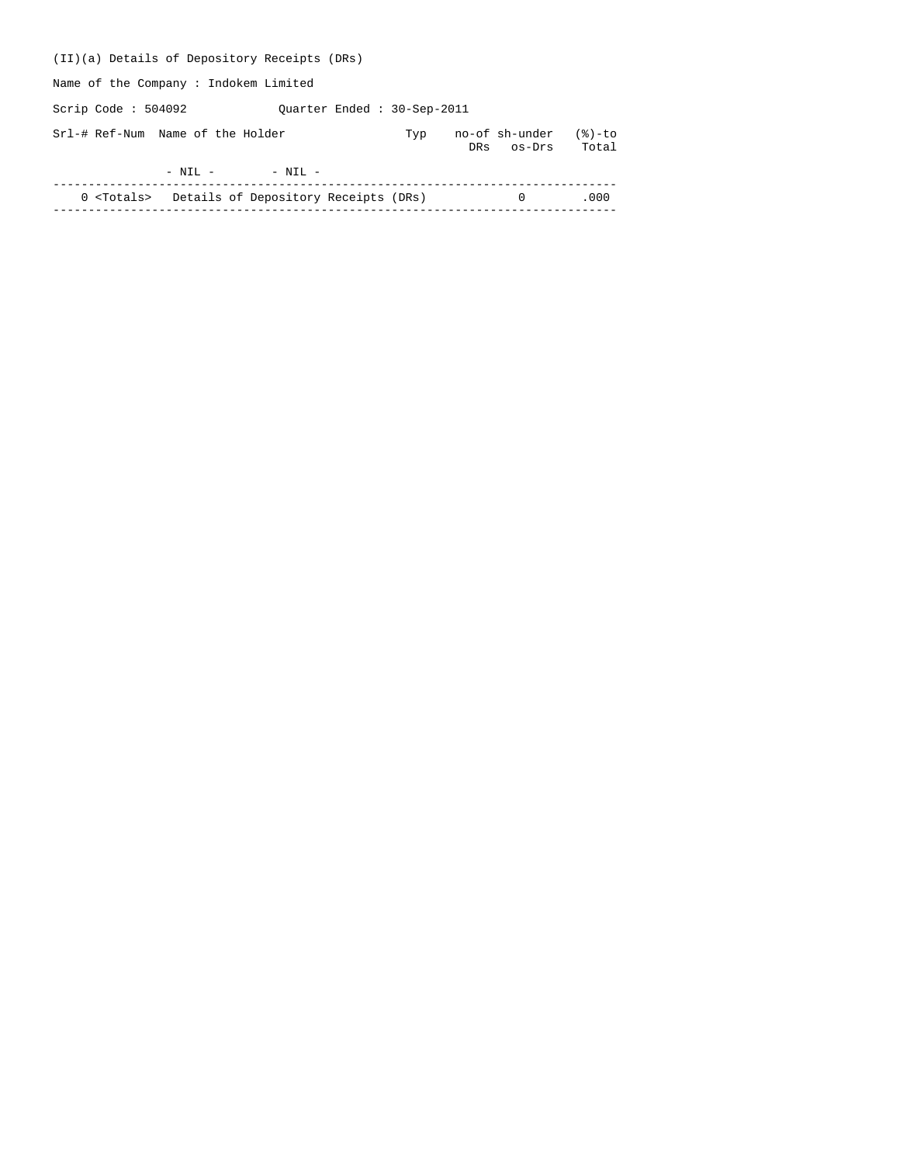| (II)(a) Details of Depository Receipts (DRs)             |                            |     |                              |                 |
|----------------------------------------------------------|----------------------------|-----|------------------------------|-----------------|
| Name of the Company: Indokem Limited                     |                            |     |                              |                 |
| Scrip Code : $504092$                                    | Ouarter Ended: 30-Sep-2011 |     |                              |                 |
| Srl-# Ref-Num Name of the Holder                         |                            | Typ | no-of sh-under<br>DRs os-Drs | (응)-to<br>Total |
| $-$ NIL $-$                                              | $-$ NIL $-$                |     |                              |                 |
| 0 <totals> Details of Depository Receipts (DRs)</totals> |                            |     | $\Omega$                     | .000            |
|                                                          |                            |     |                              |                 |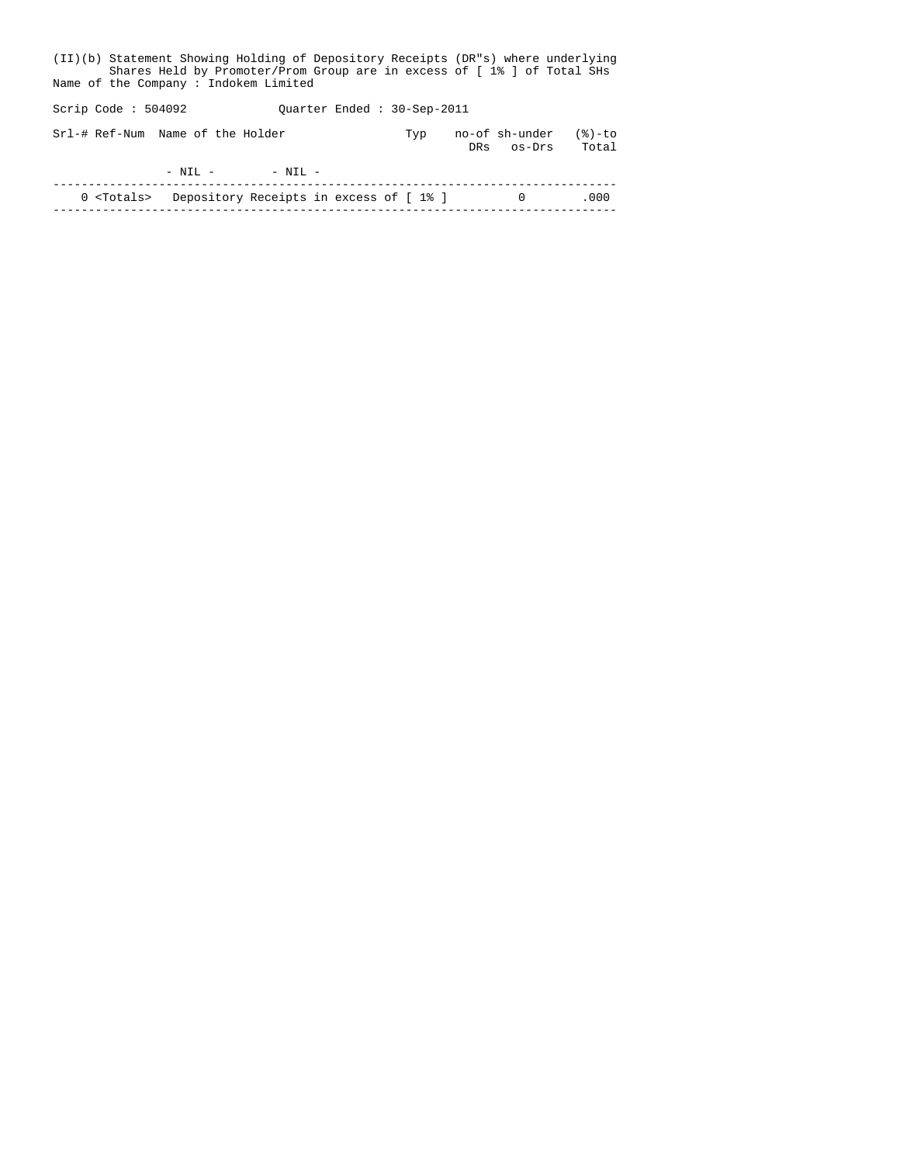| (II)(b) Statement Showing Holding of Depository Receipts (DR"s) where underlying<br>Shares Held by Promoter/Prom Group are in excess of [1% ] of Total SHs<br>Name of the Company: Indokem Limited |                                                           |  |  |  |  |  |  |  |  |  |
|----------------------------------------------------------------------------------------------------------------------------------------------------------------------------------------------------|-----------------------------------------------------------|--|--|--|--|--|--|--|--|--|
| Scrip Code : $504092$                                                                                                                                                                              | Ouarter Ended: 30-Sep-2011                                |  |  |  |  |  |  |  |  |  |
| Srl-# Ref-Num Name of the Holder                                                                                                                                                                   | no-of sh-under<br>$(8)$ -to<br>Typ<br>Total<br>DRs os-Drs |  |  |  |  |  |  |  |  |  |
| $- NTI. - - NTI. -$                                                                                                                                                                                |                                                           |  |  |  |  |  |  |  |  |  |
| 0 <totals> Depository Receipts in excess of [1%]</totals>                                                                                                                                          | .000<br>$\Omega$                                          |  |  |  |  |  |  |  |  |  |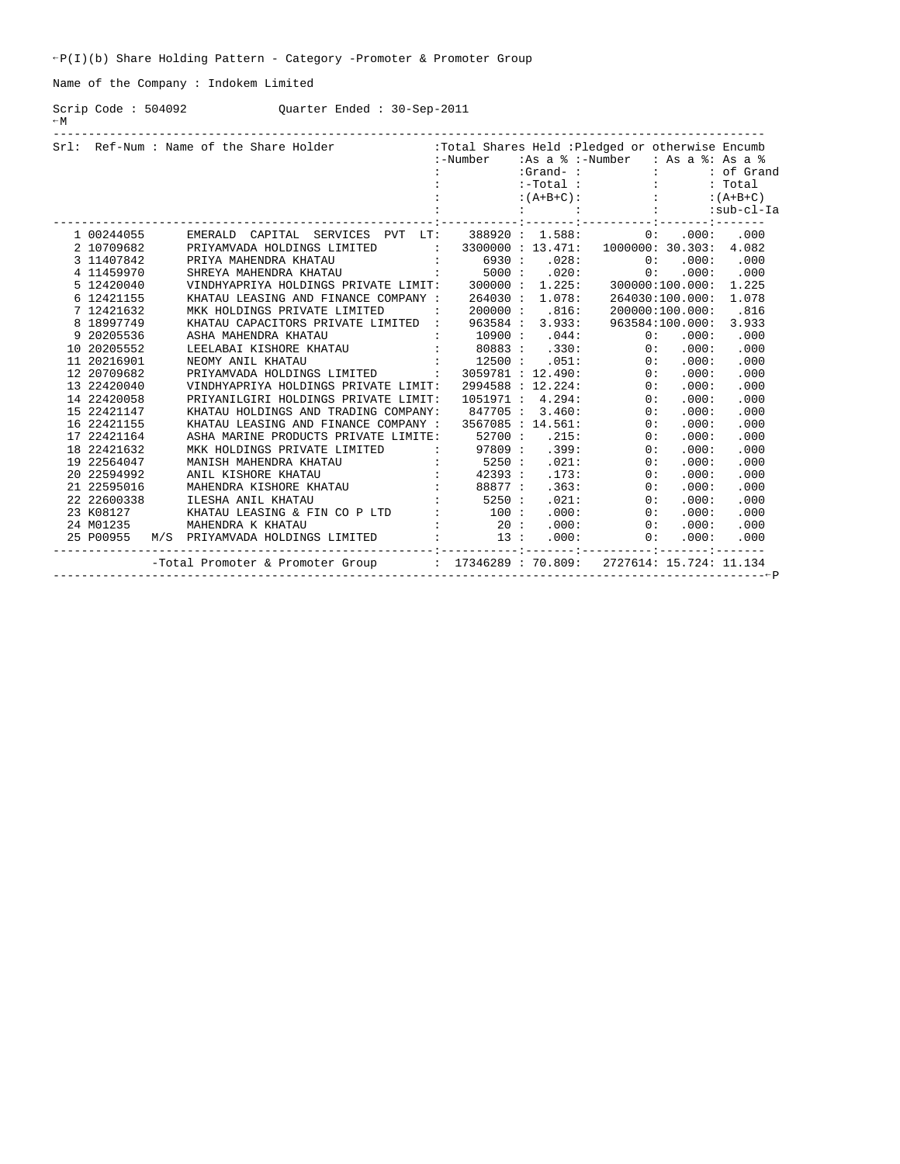Name of the Company : Indokem Limited

Scrip Code : 504092 Quarter Ended : 30-Sep-2011  $-W$ 

|            | Srl: Ref-Num : Name of the Share Holder : Total Shares Held : Pledged or otherwise Encumb                                                                                                                                                                                                                                                      |  |  |                                            |      |
|------------|------------------------------------------------------------------------------------------------------------------------------------------------------------------------------------------------------------------------------------------------------------------------------------------------------------------------------------------------|--|--|--------------------------------------------|------|
|            |                                                                                                                                                                                                                                                                                                                                                |  |  | :-Number :As a % :-Number : As a %: As a % |      |
|            |                                                                                                                                                                                                                                                                                                                                                |  |  |                                            |      |
|            |                                                                                                                                                                                                                                                                                                                                                |  |  |                                            |      |
|            |                                                                                                                                                                                                                                                                                                                                                |  |  |                                            |      |
|            |                                                                                                                                                                                                                                                                                                                                                |  |  |                                            |      |
| 1 00244055 | EMERALD CAPITAL SERVICES PVT LT: $388920: 1.588: 0: .000:$                                                                                                                                                                                                                                                                                     |  |  |                                            | .000 |
| 2 10709682 | PRIYAMVADA HOLDINGS LIMITED : 3300000 : 13.471: 1000000: 30.303: 4.082                                                                                                                                                                                                                                                                         |  |  |                                            |      |
| 3 11407842 |                                                                                                                                                                                                                                                                                                                                                |  |  |                                            |      |
| 4 11459970 |                                                                                                                                                                                                                                                                                                                                                |  |  |                                            |      |
| 5 12420040 |                                                                                                                                                                                                                                                                                                                                                |  |  |                                            |      |
|            |                                                                                                                                                                                                                                                                                                                                                |  |  |                                            |      |
|            |                                                                                                                                                                                                                                                                                                                                                |  |  |                                            |      |
|            |                                                                                                                                                                                                                                                                                                                                                |  |  |                                            |      |
|            |                                                                                                                                                                                                                                                                                                                                                |  |  |                                            |      |
|            |                                                                                                                                                                                                                                                                                                                                                |  |  |                                            |      |
|            |                                                                                                                                                                                                                                                                                                                                                |  |  |                                            |      |
|            |                                                                                                                                                                                                                                                                                                                                                |  |  |                                            |      |
|            |                                                                                                                                                                                                                                                                                                                                                |  |  |                                            |      |
|            |                                                                                                                                                                                                                                                                                                                                                |  |  |                                            |      |
|            |                                                                                                                                                                                                                                                                                                                                                |  |  |                                            |      |
|            |                                                                                                                                                                                                                                                                                                                                                |  |  |                                            |      |
|            |                                                                                                                                                                                                                                                                                                                                                |  |  |                                            |      |
|            |                                                                                                                                                                                                                                                                                                                                                |  |  |                                            |      |
|            |                                                                                                                                                                                                                                                                                                                                                |  |  |                                            |      |
|            |                                                                                                                                                                                                                                                                                                                                                |  |  |                                            |      |
|            |                                                                                                                                                                                                                                                                                                                                                |  |  |                                            |      |
|            |                                                                                                                                                                                                                                                                                                                                                |  |  |                                            |      |
|            |                                                                                                                                                                                                                                                                                                                                                |  |  |                                            |      |
|            |                                                                                                                                                                                                                                                                                                                                                |  |  |                                            |      |
|            |                                                                                                                                                                                                                                                                                                                                                |  |  |                                            |      |
|            | 3 1419970<br>5 14220040<br>5 14220040<br>6 NIMBHARARIANA MOLDINGS PRIVATE LIMITE<br>5 14240040<br>171202155<br>171202155<br>171202155<br>171202155<br>1712020555<br>1712020555<br>1712020555<br>1820020555<br>1820020555<br>1820020555<br>1820020555<br>182002<br>-Total Promoter & Promoter Group : 17346289: 70.809: 2727614: 15.724: 11.134 |  |  |                                            |      |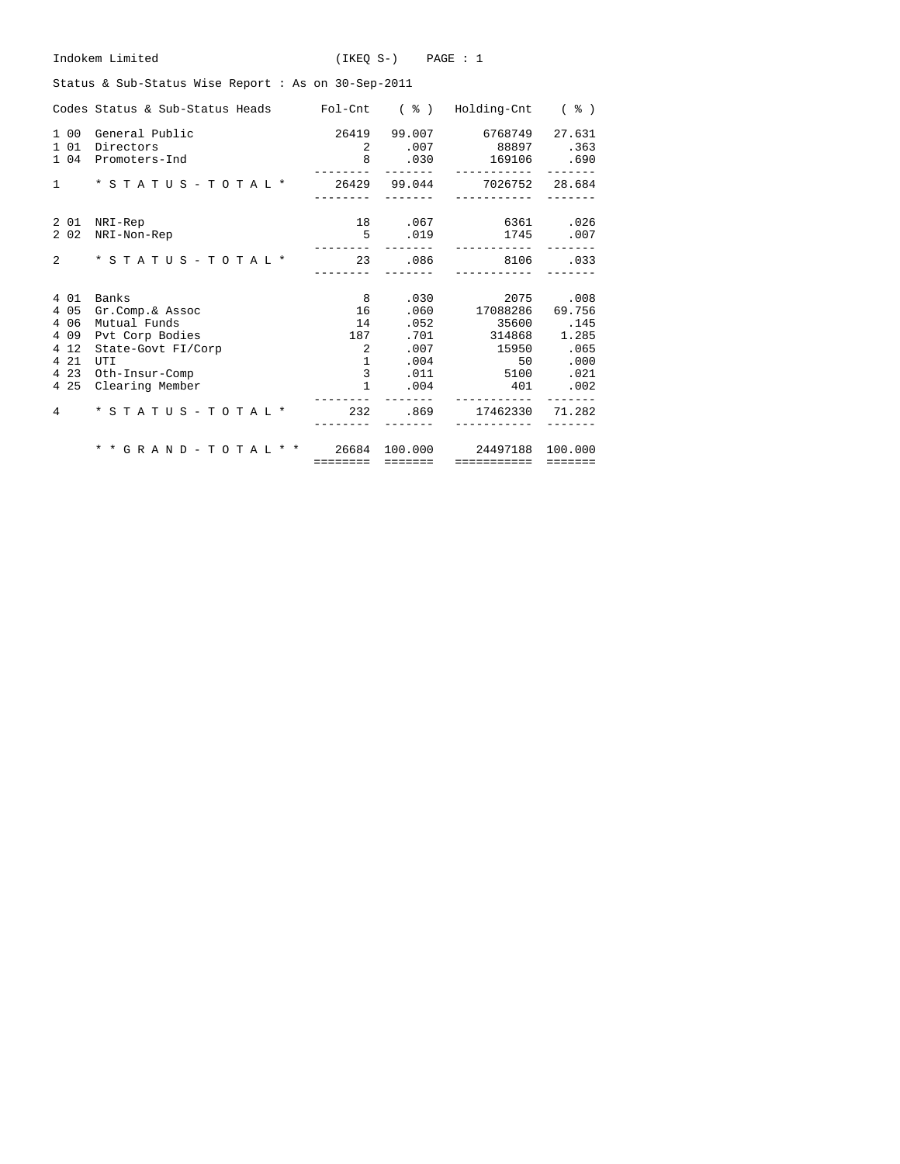| Indokem Limited<br>$(IKEO S-)$ $PAGE : 1$                                 |                 |                        |                                                                                        |              |  |  |  |  |  |  |
|---------------------------------------------------------------------------|-----------------|------------------------|----------------------------------------------------------------------------------------|--------------|--|--|--|--|--|--|
| Status & Sub-Status Wise Report: As on 30-Sep-2011                        |                 |                        |                                                                                        |              |  |  |  |  |  |  |
| Codes Status & Sub-Status Heads Fol-Cnt ( % ) Holding-Cnt ( % )           |                 |                        |                                                                                        |              |  |  |  |  |  |  |
| 1 00 General Public<br>1 0 1<br>Directors<br>1 04 Promoters-Ind           |                 | 2 .007                 | 26419 99.007 6768749<br>88897.363<br>8 .030 169106 .690<br>_______        ____________ | 27.631       |  |  |  |  |  |  |
| * S T A T U S - T O T A L * 26429 99.044 7026752 28.684<br>$1 \quad \Box$ | ---------       | --------               | ------------                                                                           |              |  |  |  |  |  |  |
| 2 01 NRI-Rep<br>2 0 2<br>NRI-Non-Rep                                      | ---------       | 5.019                  | 18 .067 6361 .026<br>1745 .007<br>___________                                          |              |  |  |  |  |  |  |
| $\overline{2}$<br>$*$ STATUS - TOTAL $*$                                  | ---------       |                        | 23 .086 8106 .033<br>------------                                                      |              |  |  |  |  |  |  |
| 4 0 1<br>Banks                                                            | 8 <sup>1</sup>  |                        | .030                                                                                   | 2075 .008    |  |  |  |  |  |  |
| 4 0 5<br>Gr.Comp.& Assoc                                                  | 16              |                        | .060 17088286                                                                          | 69.756       |  |  |  |  |  |  |
| 4 0 6<br>Mutual Funds                                                     | 14              | .052                   | 35600.145<br>$.701$ $.314868$ $.285$                                                   |              |  |  |  |  |  |  |
| 4 0 9<br>Pvt Corp Bodies<br>4 1 2<br>State-Govt FI/Corp                   | 187<br>$\sim$ 2 |                        | .007 15950 .065                                                                        |              |  |  |  |  |  |  |
| 4 2 1<br>UTI                                                              |                 | $1 \quad \blacksquare$ | .004                                                                                   | 50 —<br>.000 |  |  |  |  |  |  |
| 4 2 3<br>Oth-Insur-Comp                                                   |                 | $3^{\circ}$            | .011 5100                                                                              | .021         |  |  |  |  |  |  |
| 4 2 5<br>Clearing Member                                                  | $\mathbf{1}$    |                        | $.004$ 401                                                                             | .002         |  |  |  |  |  |  |
| * S T A T U S - T O T A L * 232 .869 17462330 71.282<br>$\overline{4}$    |                 |                        |                                                                                        |              |  |  |  |  |  |  |
| * * G R A N D - T O T A L * * 26684 100.000 24497188 100.000              |                 |                        |                                                                                        |              |  |  |  |  |  |  |
|                                                                           |                 |                        | ======== ======= ============ =======                                                  |              |  |  |  |  |  |  |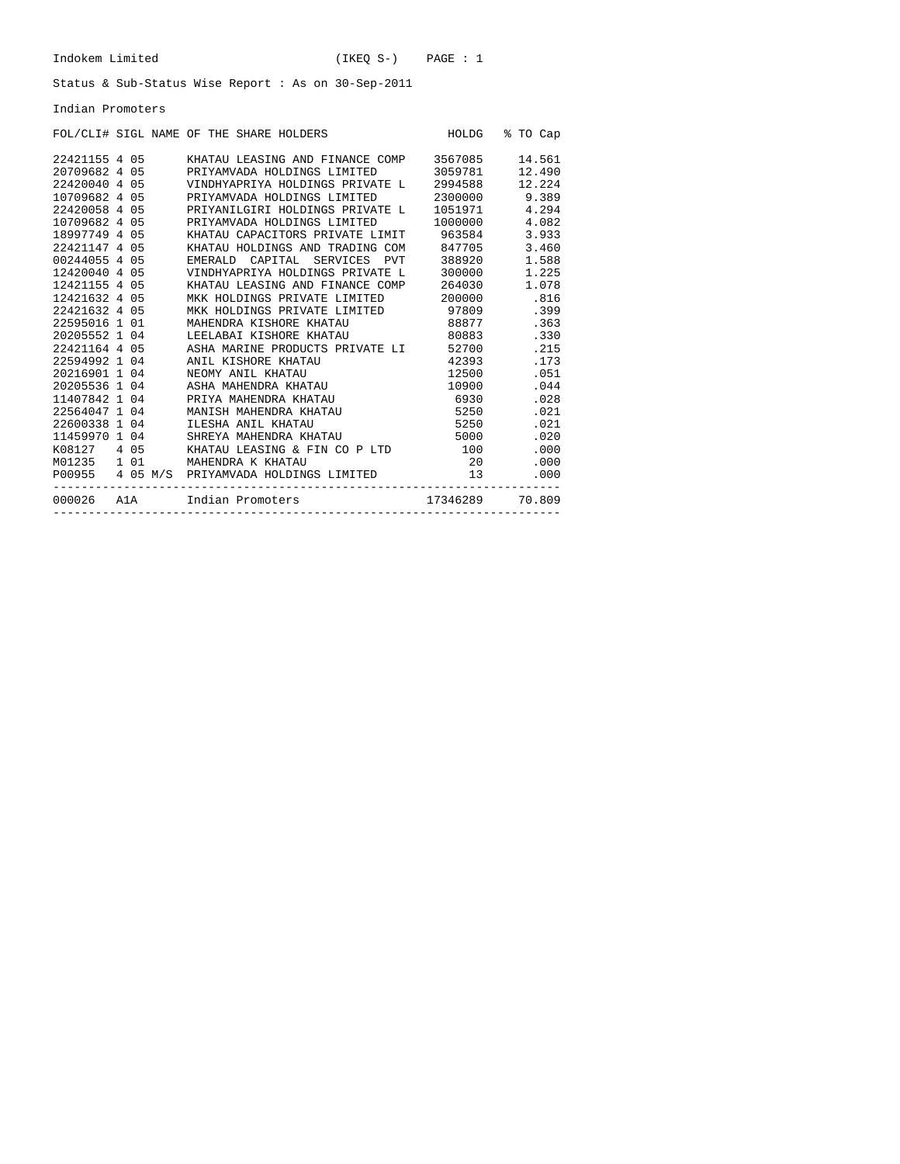#### Indian Promoters

|               |          |  |         | FOL/CLI# SIGL NAME OF THE SHARE HOLDERS |            | HOLDG    | ⊱ | TO Cap |
|---------------|----------|--|---------|-----------------------------------------|------------|----------|---|--------|
| 22421155 4 05 |          |  |         | KHATAU LEASING AND FINANCE COMP         |            | 3567085  |   | 14.561 |
| 20709682 4 05 |          |  |         | PRIYAMVADA HOLDINGS LIMITED             |            | 3059781  |   | 12.490 |
| 22420040 4 05 |          |  |         | VINDHYAPRIYA HOLDINGS PRIVATE L         |            | 2994588  |   | 12.224 |
| 10709682 4 05 |          |  |         | PRIYAMVADA HOLDINGS LIMITED             |            | 2300000  |   | 9.389  |
| 22420058 4 05 |          |  |         | PRIYANILGIRI HOLDINGS PRIVATE L         |            | 1051971  |   | 4.294  |
| 10709682 4 05 |          |  |         | PRIYAMVADA HOLDINGS LIMITED             |            | 1000000  |   | 4.082  |
| 18997749 4 05 |          |  |         | KHATAU CAPACITORS PRIVATE LIMIT         |            | 963584   |   | 3.933  |
| 22421147 4    | 05       |  |         | KHATAU HOLDINGS AND TRADING COM         |            | 847705   |   | 3.460  |
| 00244055 4 05 |          |  | EMERALD | CAPITAL<br>SERVICES                     | <b>PVT</b> | 388920   |   | 1.588  |
| 12420040 4 05 |          |  |         | VINDHYAPRIYA HOLDINGS PRIVATE L         |            | 300000   |   | 1.225  |
| 12421155 4 05 |          |  |         | KHATAU LEASING AND FINANCE COMP         |            | 264030   |   | 1.078  |
| 12421632 4    | 05       |  |         | MKK HOLDINGS PRIVATE LIMITED            |            | 200000   |   | .816   |
| 22421632 4 05 |          |  |         | MKK HOLDINGS PRIVATE LIMITED            |            | 97809    |   | .399   |
| 22595016 1 01 |          |  |         | MAHENDRA KISHORE KHATAU                 |            | 88877    |   | .363   |
| 20205552 1 04 |          |  |         | LEELABAI KISHORE KHATAU                 |            | 80883    |   | .330   |
| 22421164 4 05 |          |  |         | ASHA MARINE PRODUCTS PRIVATE LI         |            | 52700    |   | .215   |
| 22594992 1    | 04       |  |         | ANIL KISHORE KHATAU                     |            | 42393    |   | .173   |
| 20216901 1 04 |          |  |         | NEOMY ANIL KHATAU                       |            | 12500    |   | .051   |
| 20205536 1    | 04       |  |         | ASHA MAHENDRA KHATAU                    |            | 10900    |   | .044   |
| 11407842 1 04 |          |  |         | PRIYA MAHENDRA KHATAU                   |            | 6930     |   | .028   |
| 22564047 1    | 04       |  |         | MANISH MAHENDRA KHATAU                  |            | 5250     |   | .021   |
| 22600338 1 04 |          |  |         | ILESHA ANIL KHATAU                      |            | 5250     |   | .021   |
| 11459970 1    | 04       |  |         | SHREYA MAHENDRA KHATAU                  |            | 5000     |   | .020   |
| K08127        | 4 05     |  |         | KHATAU LEASING & FIN CO P LTD           |            | 100      |   | .000   |
| M01235        | $1 \t01$ |  |         | MAHENDRA K KHATAU                       |            | 20       |   | .000   |
| P00955        | 4 05 M/S |  |         | PRIYAMVADA HOLDINGS LIMITED             |            | 13       |   | .000   |
| 000026        | A1A      |  |         | Indian Promoters                        |            | 17346289 |   | 70.809 |

------------------------------------------------------------------------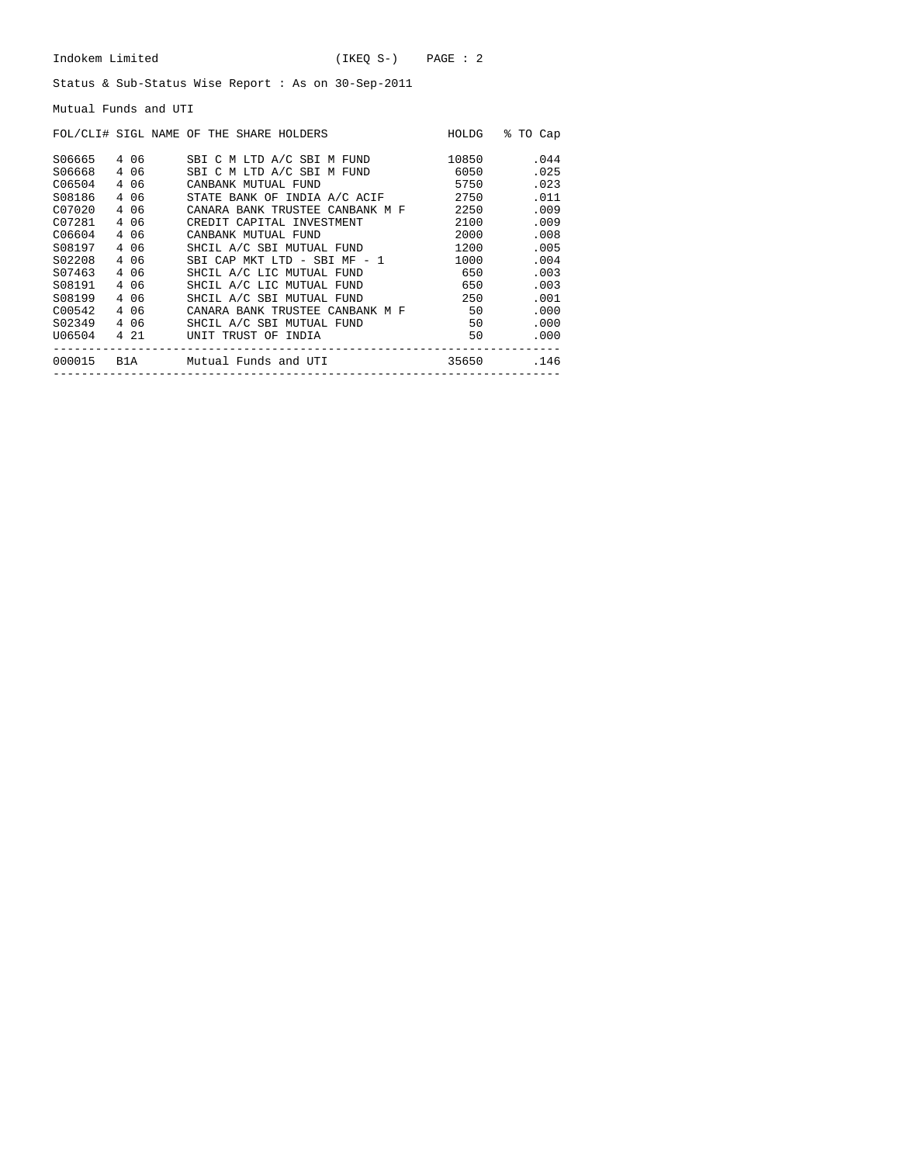Mutual Funds and UTI

|                                                |                                         | FOL/CLI# SIGL NAME OF THE SHARE HOLDERS                                                                                                            | HOLDG                                 | % TO Cap                             |
|------------------------------------------------|-----------------------------------------|----------------------------------------------------------------------------------------------------------------------------------------------------|---------------------------------------|--------------------------------------|
| S06665<br>S06668<br>C06504<br>S08186<br>C07020 | 406<br>4 0 6<br>4 0 6<br>4 0 6<br>4 0 6 | SBI C M LTD A/C SBI M FUND<br>SBI C M LTD A/C SBI M FUND<br>CANBANK MUTUAL FUND<br>STATE BANK OF INDIA A/C ACIF<br>CANARA BANK TRUSTEE CANBANK M F | 10850<br>6050<br>5750<br>2750<br>2250 | .044<br>.025<br>.023<br>.011<br>.009 |
| C07281                                         | 4 06                                    | CREDIT CAPITAL INVESTMENT                                                                                                                          | 2100                                  | .009                                 |
| C06604                                         | 4 0 6                                   | CANBANK MUTUAL FUND                                                                                                                                | 2000                                  | .008                                 |
| S08197                                         | 4 0 6                                   | SHCIL A/C SBI MUTUAL FUND                                                                                                                          | 1200                                  | .005                                 |
| S02208                                         | 4 06                                    | SBI CAP MKT LTD - SBI MF - 1                                                                                                                       | 1000                                  | .004                                 |
| S07463                                         | 4 0 6                                   | SHCIL A/C LIC MUTUAL FUND                                                                                                                          | 650                                   | .003                                 |
| S08191                                         | 4 06                                    | SHCIL A/C LIC MUTUAL FUND                                                                                                                          | 650                                   | .003                                 |
| S08199                                         | 4 0 6                                   | SHCIL A/C SBI MUTUAL FUND                                                                                                                          | 250                                   | .001                                 |
| C00542                                         | 4 06                                    | CANARA BANK TRUSTEE CANBANK M F                                                                                                                    | 50                                    | .000                                 |
| S02349                                         | 4 0 6                                   | SHCIL A/C SBI MUTUAL FUND                                                                                                                          | 50                                    | .000                                 |
| U06504                                         | 4 21                                    | UNIT TRUST OF INDIA                                                                                                                                | 50                                    | .000                                 |
| 000015 B1A                                     |                                         | Mutual Funds and UTI                                                                                                                               | 35650                                 | .146                                 |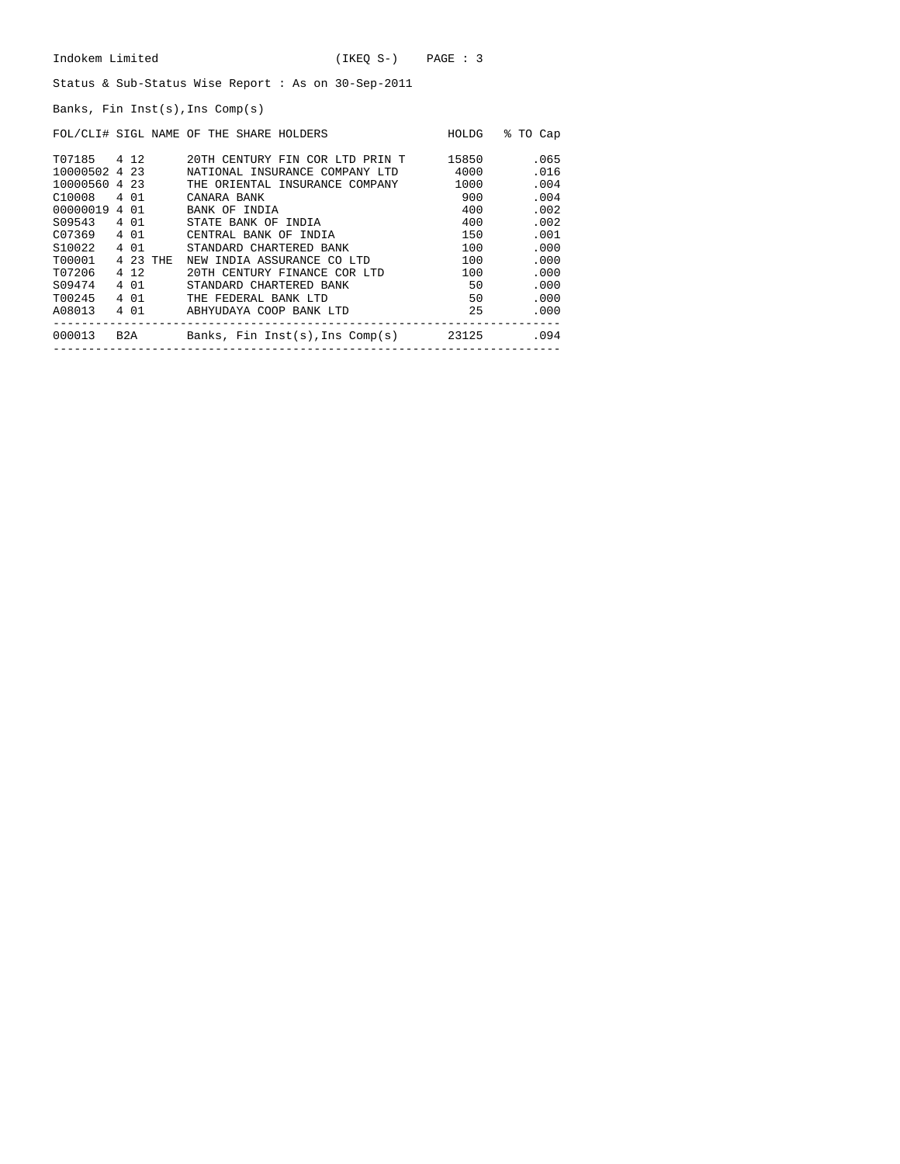Banks, Fin Inst(s),Ins Comp(s)

|                    |          | FOL/CLI# SIGL NAME OF THE SHARE HOLDERS | HOLDG | % TO Cap |
|--------------------|----------|-----------------------------------------|-------|----------|
| T07185 4 12        |          | 20TH CENTURY FIN COR LTD PRIN T         | 15850 | .065     |
| 10000502 4 23      |          | NATIONAL INSURANCE COMPANY LTD          | 4000  | .016     |
| 10000560 4 23      |          | THE ORIENTAL INSURANCE COMPANY          | 1000  | .004     |
| C10008             | 4 0 1    | CANARA BANK                             | 900   | .004     |
| 00000019 4 01      |          | BANK OF INDIA                           | 400   | .002     |
| S09543             | 4 0 1    | STATE BANK OF INDIA                     | 400   | .002     |
| C07369             | 4 0 1    | CENTRAL BANK OF INDIA                   | 150   | .001     |
| S <sub>10022</sub> | 4 0 1    | STANDARD CHARTERED BANK                 | 100   | .000     |
| T00001             | 4 23 THE | NEW INDIA ASSURANCE CO LTD              | 100   | .000     |
| T07206             | 4 1 2    | 20TH CENTURY FINANCE COR LTD            | 100   | .000     |
| S09474             | 4 0 1    | STANDARD CHARTERED BANK                 | 50    | .000     |
| T00245             | 4 01     | THE FEDERAL BANK LTD                    | 50    | .000     |
| A08013             | 4 01     | ABHYUDAYA COOP BANK LTD                 | 25    | .000     |
| 000013             |          | B2A Banks, Fin Inst(s),Ins Comp(s)      | 23125 | .094     |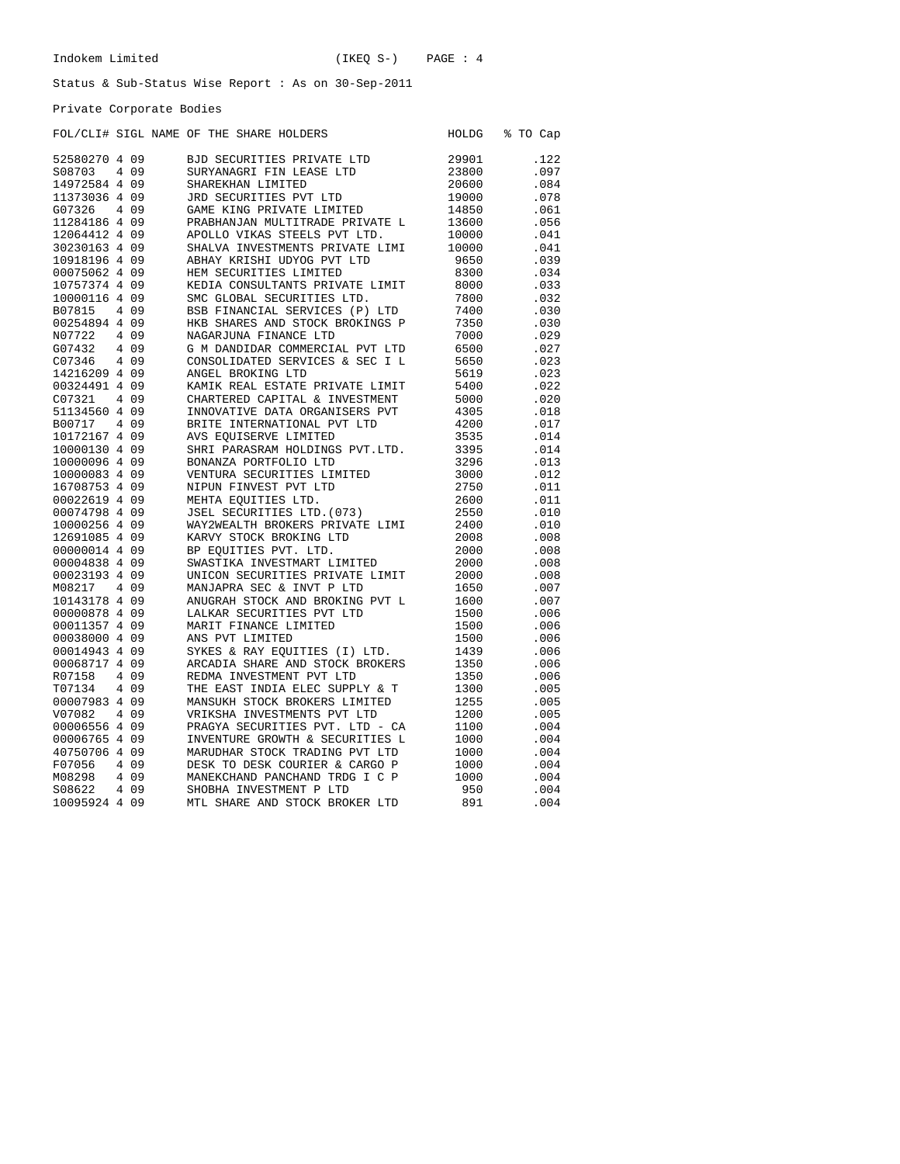Private Corporate Bodies

|                                |       | FOL/CLI# SIGL NAME OF THE SHARE HOLDERS                           | HOLDG        | % TO Cap     |
|--------------------------------|-------|-------------------------------------------------------------------|--------------|--------------|
| 52580270 4 09                  |       | BJD SECURITIES PRIVATE LTD                                        | 29901        | .122         |
| S08703                         | 4 0 9 | SURYANAGRI FIN LEASE LTD                                          | 23800        | .097         |
| 14972584 4 09                  |       | SHAREKHAN LIMITED                                                 | 20600        | .084         |
| 11373036 4 09                  |       | JRD SECURITIES PVT LTD                                            | 19000        | .078         |
| G07326                         | 4 0 9 | GAME KING PRIVATE LIMITED                                         | 14850        | .061         |
| 11284186 4 09                  |       | PRABHANJAN MULTITRADE PRIVATE L                                   | 13600        | .056         |
| 12064412 4 09                  |       | APOLLO VIKAS STEELS PVT LTD.                                      | 10000        | .041         |
| 30230163 4 09                  |       | SHALVA INVESTMENTS PRIVATE LIMI                                   | 10000        | .041         |
| 10918196 4 09                  |       | ABHAY KRISHI UDYOG PVT LTD                                        | 9650         | .039         |
| 00075062 4 09                  |       | HEM SECURITIES LIMITED                                            | 8300         | .034         |
| 10757374 4 09                  |       | KEDIA CONSULTANTS PRIVATE LIMIT                                   | 8000         | .033         |
| 10000116 4 09                  |       | SMC GLOBAL SECURITIES LTD.                                        | 7800         | .032         |
| B07815                         | 4 0 9 | BSB FINANCIAL SERVICES (P) LTD                                    | 7400         | .030         |
| 00254894 4 09                  |       | HKB SHARES AND STOCK BROKINGS P                                   | 7350         | .030         |
| N07722                         | 4 0 9 | NAGARJUNA FINANCE LTD                                             | 7000         | .029         |
| G07432                         | 4 0 9 | G M DANDIDAR COMMERCIAL PVT LTD                                   | 6500         | .027         |
| C07346                         | 4 0 9 | CONSOLIDATED SERVICES & SEC I L                                   | 5650         | .023         |
| 14216209 4 09                  |       | ANGEL BROKING LTD                                                 | 5619         | .023         |
| 00324491 4 09                  |       | KAMIK REAL ESTATE PRIVATE LIMIT                                   | 5400         | .022         |
| C07321                         | 4 0 9 | CHARTERED CAPITAL & INVESTMENT                                    | 5000         | .020         |
| 51134560 4 09                  |       | INNOVATIVE DATA ORGANISERS PVT                                    | 4305         | .018         |
| B00717                         | 4 0 9 | BRITE INTERNATIONAL PVT LTD                                       | 4200         | .017         |
| 10172167 4 09                  |       | AVS EOUISERVE LIMITED                                             | 3535         | .014         |
| 10000130 4 09                  |       | SHRI PARASRAM HOLDINGS PVT.LTD.                                   | 3395         | .014         |
| 10000096 4 09<br>10000083 4 09 |       | BONANZA PORTFOLIO LTD<br>VENTURA SECURITIES LIMITED               | 3296<br>3000 | .013<br>.012 |
| 16708753 4 09                  |       | NIPUN FINVEST PVT LTD                                             | 2750         | .011         |
| 00022619 4 09                  |       | MEHTA EOUITIES LTD.                                               | 2600         | .011         |
| 00074798 4 09                  |       | JSEL SECURITIES LTD. (073)                                        | 2550         | .010         |
| 10000256 4 09                  |       | WAY2WEALTH BROKERS PRIVATE LIMI                                   | 2400         | .010         |
| 12691085 4 09                  |       | KARVY STOCK BROKING LTD                                           | 2008         | .008         |
| 00000014 4 09                  |       | BP EQUITIES PVT. LTD.                                             | 2000         | .008         |
| 00004838 4 09                  |       | SWASTIKA INVESTMART LIMITED                                       | 2000         | .008         |
| 00023193 4 09                  |       | UNICON SECURITIES PRIVATE LIMIT                                   | 2000         | .008         |
| M08217                         | 4 0 9 | MANJAPRA SEC & INVT P LTD                                         | 1650         | .007         |
| 10143178 4 09                  |       | ANUGRAH STOCK AND BROKING PVT L                                   | 1600         | .007         |
| 00000878 4 09                  |       | LALKAR SECURITIES PVT LTD                                         | 1500         | .006         |
| 00011357 4 09                  |       | MARIT FINANCE LIMITED                                             | 1500         | .006         |
| 00038000 4 09                  |       | ANS PVT LIMITED                                                   | 1500         | .006         |
| 00014943 4 09                  |       | SYKES & RAY EOUITIES (I) LTD.                                     | 1439         | .006         |
| 00068717 4 09                  |       | ARCADIA SHARE AND STOCK BROKERS                                   | 1350         | .006         |
| R07158                         | 4 0 9 | REDMA INVESTMENT PVT LTD                                          | 1350         | .006         |
| T07134                         | 4 0 9 | THE EAST INDIA ELEC SUPPLY & T                                    | 1300         | .005         |
| 00007983 4 09                  |       | MANSUKH STOCK BROKERS LIMITED                                     | 1255         | .005         |
| V07082                         | 4 0 9 | VRIKSHA INVESTMENTS PVT LTD                                       | 1200         | .005         |
| 00006556 4 09                  |       | PRAGYA SECURITIES PVT. LTD - CA                                   | 1100         | .004         |
| 00006765 4 09<br>40750706 4 09 |       | INVENTURE GROWTH & SECURITIES L<br>MARUDHAR STOCK TRADING PVT LTD | 1000         | .004         |
| F07056                         | 409   | DESK TO DESK COURIER & CARGO P                                    | 1000<br>1000 | .004<br>.004 |
| M08298                         | 4 0 9 | MANEKCHAND PANCHAND TRDG I C P                                    | 1000         | .004         |
| S08622                         | 4 0 9 | SHOBHA INVESTMENT P LTD                                           | 950          | .004         |
| 10095924 4 09                  |       | MTL SHARE AND STOCK BROKER LTD                                    | 891          | .004         |
|                                |       |                                                                   |              |              |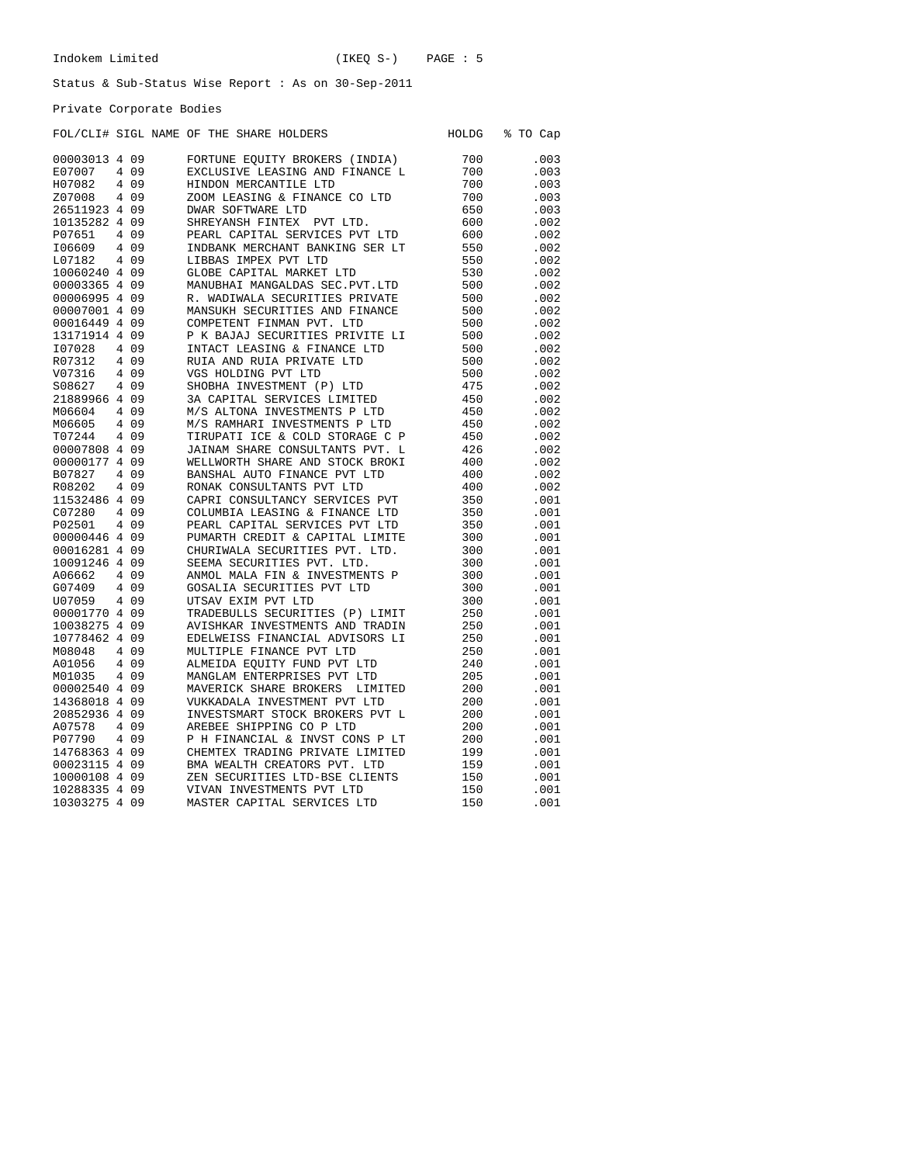Private Corporate Bodies

## FOL/CLI# SIGL NAME OF THE SHARE HOLDERS HOLDG % TO Cap

| 00003013 4 09 |       | FORTUNE EQUITY BROKERS (INDIA)    | 700 | .003 |
|---------------|-------|-----------------------------------|-----|------|
| E07007        | 4 0 9 | EXCLUSIVE LEASING AND FINANCE L   | 700 | .003 |
| H07082        | 4 0 9 | HINDON MERCANTILE LTD             | 700 | .003 |
| Z07008        | 4 0 9 | ZOOM LEASING & FINANCE CO LTD     | 700 | .003 |
| 26511923 4 09 |       | <b>DWAR SOFTWARE LTD</b>          | 650 | .003 |
| 10135282 4 09 |       | SHREYANSH FINTEX<br>PVT LTD.      | 600 | .002 |
| P07651        | 4 0 9 | PEARL CAPITAL SERVICES PVT LTD    | 600 | .002 |
| I06609        | 4 0 9 | INDBANK MERCHANT BANKING SER LT   | 550 | .002 |
| L07182        | 4 0 9 | LIBBAS IMPEX PVT LTD              | 550 | .002 |
| 10060240 4 09 |       | GLOBE CAPITAL MARKET LTD          | 530 | .002 |
| 00003365 4 09 |       | MANUBHAI MANGALDAS SEC. PVT. LTD  | 500 | .002 |
| 00006995 4 09 |       | R. WADIWALA SECURITIES PRIVATE    | 500 | .002 |
| 00007001 4 09 |       | MANSUKH SECURITIES AND FINANCE    | 500 | .002 |
| 00016449 4 09 |       | COMPETENT FINMAN PVT. LTD         | 500 | .002 |
| 13171914 4 09 |       | P K BAJAJ SECURITIES PRIVITE LI   | 500 | .002 |
| I07028        | 4 0 9 | INTACT LEASING & FINANCE LTD      | 500 | .002 |
| R07312        | 4 0 9 | RUIA AND RUIA PRIVATE LTD         | 500 | .002 |
| V07316        | 4 0 9 | VGS HOLDING PVT LTD               | 500 | .002 |
| S08627        | 4 0 9 | SHOBHA INVESTMENT (P) LTD         | 475 | .002 |
| 21889966 4 09 |       | 3A CAPITAL SERVICES LIMITED       | 450 | .002 |
|               |       |                                   |     |      |
| M06604        | 4 0 9 | M/S ALTONA INVESTMENTS P LTD      | 450 | .002 |
| M06605        | 4 0 9 | M/S RAMHARI INVESTMENTS P LTD     | 450 | .002 |
| T07244        | 4 0 9 | TIRUPATI ICE & COLD STORAGE C P   | 450 | .002 |
| 00007808 4 09 |       | JAINAM SHARE CONSULTANTS PVT. L   | 426 | .002 |
| 00000177 4 09 |       | WELLWORTH SHARE AND STOCK BROKI   | 400 | .002 |
| B07827        | 4 0 9 | BANSHAL AUTO FINANCE PVT LTD      | 400 | .002 |
| R08202        | 4 0 9 | RONAK CONSULTANTS PVT LTD         | 400 | .002 |
| 11532486 4 09 |       | CAPRI CONSULTANCY SERVICES PVT    | 350 | .001 |
| C07280        | 4 0 9 | COLUMBIA LEASING & FINANCE LTD    | 350 | .001 |
| P02501        | 4 0 9 | PEARL CAPITAL SERVICES PVT LTD    | 350 | .001 |
| 00000446 4 09 |       | PUMARTH CREDIT & CAPITAL LIMITE   | 300 | .001 |
| 00016281 4 09 |       | CHURIWALA SECURITIES PVT. LTD.    | 300 | .001 |
| 10091246 4 09 |       | SEEMA SECURITIES PVT. LTD.        | 300 | .001 |
| A06662        | 409   | ANMOL MALA FIN & INVESTMENTS P    | 300 | .001 |
| G07409        | 409   | GOSALIA SECURITIES PVT LTD        | 300 | .001 |
| U07059        | 4 0 9 | UTSAV EXIM PVT LTD                | 300 | .001 |
| 00001770 4 09 |       | TRADEBULLS SECURITIES (P) LIMIT   | 250 | .001 |
| 10038275 4 09 |       | AVISHKAR INVESTMENTS AND TRADIN   | 250 | .001 |
| 10778462 4 09 |       | EDELWEISS FINANCIAL ADVISORS LI   | 250 | .001 |
| M08048        | 4 0 9 | MULTIPLE FINANCE PVT LTD          | 250 | .001 |
| A01056        | 409   | ALMEIDA EQUITY FUND PVT LTD       | 240 | .001 |
| M01035        | 409   | MANGLAM ENTERPRISES PVT LTD       | 205 | .001 |
| 00002540 4 09 |       | MAVERICK SHARE BROKERS<br>LIMITED | 200 | .001 |
| 14368018 4 09 |       | VUKKADALA INVESTMENT PVT LTD      | 200 | .001 |
| 20852936 4 09 |       | INVESTSMART STOCK BROKERS PVT L   | 200 | .001 |
| A07578        | 409   | AREBEE SHIPPING CO P LTD          | 200 | .001 |
| P07790        | 4 0 9 | P H FINANCIAL & INVST CONS P LT   | 200 | .001 |
|               |       |                                   |     |      |
| 14768363 4 09 |       | CHEMTEX TRADING PRIVATE LIMITED   | 199 | .001 |
| 00023115 4 09 |       | BMA WEALTH CREATORS PVT. LTD      | 159 | .001 |
| 10000108 4 09 |       | ZEN SECURITIES LTD-BSE CLIENTS    | 150 | .001 |
| 10288335 4 09 |       | VIVAN INVESTMENTS PVT LTD         | 150 | .001 |
| 10303275 4 09 |       | MASTER CAPITAL SERVICES LTD       | 150 | .001 |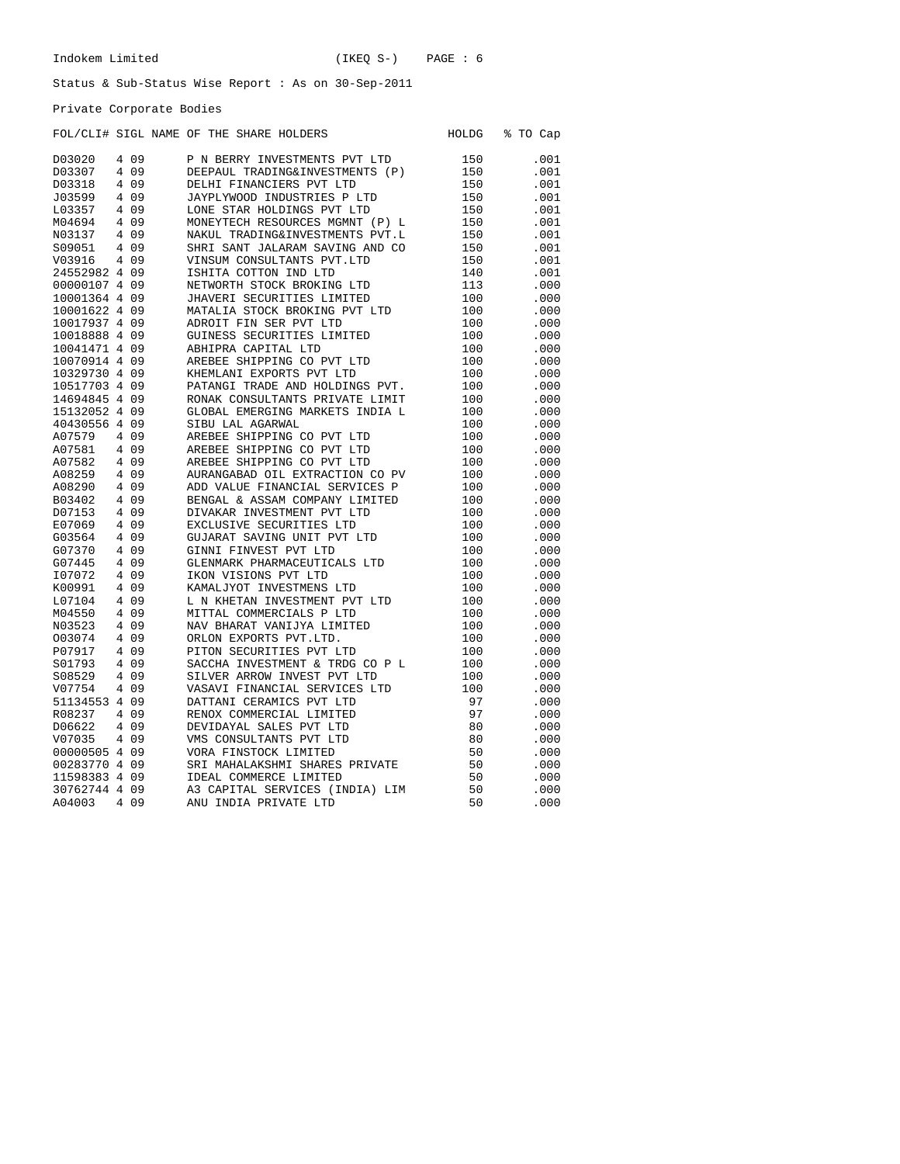HOLDG % TO Cap

### Status & Sub-Status Wise Report : As on 30-Sep-2011

Private Corporate Bodies

|  |  |  | FOL/CLI# SIGL NAME OF THE SHARE HOLDERS |
|--|--|--|-----------------------------------------|
|  |  |  |                                         |

| D03020        |   | 409   | P N BERRY INVESTMENTS PVT LTD   | 150 | .001 |
|---------------|---|-------|---------------------------------|-----|------|
| D03307        |   | 4 0 9 | DEEPAUL TRADING&INVESTMENTS (P) | 150 | .001 |
| D03318        |   | 4 0 9 | DELHI FINANCIERS PVT LTD        | 150 | .001 |
| J03599        |   | 4 0 9 | JAYPLYWOOD INDUSTRIES P LTD     | 150 | .001 |
| L03357        |   | 4 0 9 | LONE STAR HOLDINGS PVT LTD      | 150 | .001 |
|               |   |       |                                 |     | .001 |
| M04694        |   | 4 0 9 | MONEYTECH RESOURCES MGMNT (P) L | 150 |      |
| N03137        |   | 4 0 9 | NAKUL TRADING&INVESTMENTS PVT.L | 150 | .001 |
| S09051        |   | 4 0 9 | SHRI SANT JALARAM SAVING AND CO | 150 | .001 |
| V03916        |   | 4 0 9 | VINSUM CONSULTANTS PVT.LTD      | 150 | .001 |
| 24552982 4 09 |   |       | ISHITA COTTON IND LTD           | 140 | .001 |
| 00000107 4 09 |   |       | NETWORTH STOCK BROKING LTD      | 113 | .000 |
| 10001364 4 09 |   |       | JHAVERI SECURITIES LIMITED      | 100 | .000 |
| 10001622 4 09 |   |       | MATALIA STOCK BROKING PVT LTD   | 100 | .000 |
| 10017937 4 09 |   |       | ADROIT FIN SER PVT LTD          | 100 | .000 |
| 10018888 4 09 |   |       | GUINESS SECURITIES LIMITED      | 100 | .000 |
| 10041471 4 09 |   |       | ABHIPRA CAPITAL LTD             | 100 | .000 |
| 10070914 4 09 |   |       | AREBEE SHIPPING CO PVT LTD      | 100 | .000 |
| 10329730 4 09 |   |       | KHEMLANI EXPORTS PVT LTD        | 100 | .000 |
| 10517703 4 09 |   |       | PATANGI TRADE AND HOLDINGS PVT. | 100 | .000 |
| 14694845 4 09 |   |       | RONAK CONSULTANTS PRIVATE LIMIT | 100 | .000 |
| 15132052 4 09 |   |       | GLOBAL EMERGING MARKETS INDIA L | 100 | .000 |
| 40430556 4 09 |   |       | SIBU LAL AGARWAL                | 100 | .000 |
| A07579        |   | 4 0 9 | AREBEE SHIPPING CO PVT LTD      | 100 | .000 |
| A07581        |   | 4 0 9 | AREBEE SHIPPING CO PVT LTD      | 100 | .000 |
| A07582        |   | 4 0 9 | AREBEE SHIPPING CO PVT LTD      | 100 | .000 |
| A08259        |   | 4 0 9 | AURANGABAD OIL EXTRACTION CO PV | 100 | .000 |
| A08290        |   | 4 0 9 | ADD VALUE FINANCIAL SERVICES P  | 100 | .000 |
|               |   |       |                                 |     |      |
| B03402        |   | 409   | BENGAL & ASSAM COMPANY LIMITED  | 100 | .000 |
| D07153        |   | 4 0 9 | DIVAKAR INVESTMENT PVT LTD      | 100 | .000 |
| E07069        |   | 4 0 9 | EXCLUSIVE SECURITIES LTD        | 100 | .000 |
| G03564        |   | 4 0 9 | GUJARAT SAVING UNIT PVT LTD     | 100 | .000 |
| G07370        |   | 4 0 9 | GINNI FINVEST PVT LTD           | 100 | .000 |
| G07445        |   | 4 0 9 | GLENMARK PHARMACEUTICALS LTD    | 100 | .000 |
| I07072        |   | 4 0 9 | IKON VISIONS PVT LTD            | 100 | .000 |
| K00991        | 4 | 09    | KAMALJYOT INVESTMENS LTD        | 100 | .000 |
| L07104        |   | 4 0 9 | L N KHETAN INVESTMENT PVT LTD   | 100 | .000 |
| M04550        |   | 4 0 9 | MITTAL COMMERCIALS P LTD        | 100 | .000 |
| N03523        |   | 4 0 9 | NAV BHARAT VANIJYA LIMITED      | 100 | .000 |
| 003074        |   | 4 0 9 | ORLON EXPORTS PVT.LTD.          | 100 | .000 |
| P07917        |   | 4 0 9 | PITON SECURITIES PVT LTD        | 100 | .000 |
| S01793        |   | 4 0 9 | SACCHA INVESTMENT & TRDG CO P L | 100 | .000 |
| S08529        |   | 4 0 9 | SILVER ARROW INVEST PVT LTD     | 100 | .000 |
| V07754        |   | 4 0 9 | VASAVI FINANCIAL SERVICES LTD   | 100 | .000 |
| 51134553 4 09 |   |       | DATTANI CERAMICS PVT LTD        | 97  | .000 |
| R08237        |   | 4 0 9 | RENOX COMMERCIAL LIMITED        | 97  | .000 |
| D06622        |   | 4 0 9 | DEVIDAYAL SALES PVT LTD         | 80  | .000 |
| V07035        |   | 4 0 9 | VMS CONSULTANTS PVT LTD         | 80  | .000 |
| 00000505 4 09 |   |       | VORA FINSTOCK LIMITED           | 50  | .000 |
| 00283770 4 09 |   |       | SRI MAHALAKSHMI SHARES PRIVATE  | 50  | .000 |
| 11598383 4 09 |   |       | IDEAL COMMERCE LIMITED          | 50  | .000 |
| 30762744 4 09 |   |       | A3 CAPITAL SERVICES (INDIA) LIM | 50  | .000 |
| A04003        |   | 4 0 9 | ANU INDIA PRIVATE LTD           | 50  | .000 |
|               |   |       |                                 |     |      |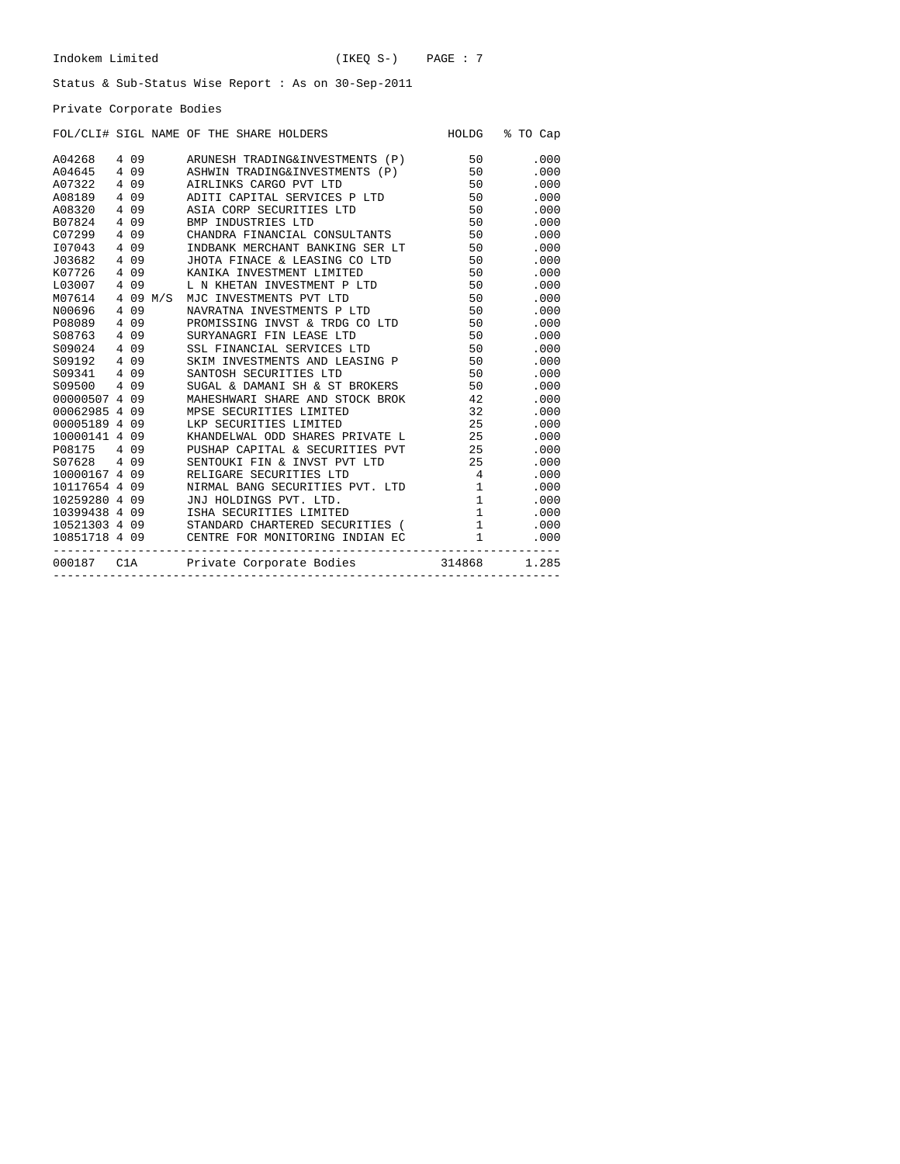Private Corporate Bodies

|               |       |       | FOL/CLI# SIGL NAME OF THE SHARE HOLDERS                                                    |                                             | HOLDG % TO Cap  |
|---------------|-------|-------|--------------------------------------------------------------------------------------------|---------------------------------------------|-----------------|
| A04268        |       |       | 4 09 ARUNESH TRADING&INVESTMENTS (P) 50                                                    |                                             | .000            |
| A04645        |       |       | 4 09 ASHWIN TRADING&INVESTMENTS (P) 50                                                     |                                             | .000            |
| A07322        |       | 4 0 9 | AIRLINKS CARGO PVT LTD                                                                     |                                             | 50 — 10<br>.000 |
| A08189        | 4 0 9 |       | ADITI CAPITAL SERVICES P LTD 50                                                            |                                             | .000            |
| A08320 4 09   |       |       | ASIA CORP SECURITIES LTD                                                                   | 50                                          | .000            |
| B07824 4 09   |       |       | BMP INDUSTRIES LTD                                                                         | 50                                          | .000            |
| C07299 4 09   |       |       | CHANDRA FINANCIAL CONSULTANTS 50                                                           |                                             | .000            |
| 107043 4 09   |       |       | INDBANK MERCHANT BANKING SER LT 50                                                         |                                             | .000            |
| J03682 4 09   |       |       | JHOTA FINACE & LEASING CO LTD 50                                                           |                                             | .000            |
|               |       |       | K07726 4 09 KANIKA INVESTMENT LIMITED                                                      | 50                                          | .000            |
|               |       |       |                                                                                            | 50                                          | .000            |
|               |       |       | LO3007 4 09 L N KHETAN INVESTMENT P LTD<br>M07614 4 09 M/S MJC INVESTMENTS PVT LTD         |                                             | 50<br>.000      |
| N00696 4 09   |       |       | NAVRATNA INVESTMENTS P LTD                                                                 | 50                                          | .000            |
| P08089        |       | 4 0 9 | PROMISSING INVST & TRDG CO LTD 50                                                          |                                             | .000            |
| S08763 4 09   |       |       | SURYANAGRI FIN LEASE LTD                                                                   | 50                                          | .000            |
| S09024 4 09   |       |       | SSL FINANCIAL SERVICES LTD                                                                 | 50                                          | .000            |
| S09192 4 09   |       |       | SKIM INVESTMENTS AND LEASING P 50                                                          |                                             | .000            |
| S09341 4 09   |       |       | SANTOSH SECURITIES LTD                                                                     | 50                                          | .000            |
| S09500 4 09   |       |       | SUGAL & DAMANI SH & ST BROKERS 50                                                          |                                             | .000            |
| 00000507 4 09 |       |       | MAHESHWARI SHARE AND STOCK BROK 42                                                         |                                             | .000            |
| 00062985 4 09 |       |       | MPSE SECURITIES LIMITED                                                                    | 32                                          | .000            |
| 00005189 4 09 |       |       | LKP SECURITIES LIMITED                                                                     |                                             | 25<br>.000      |
| 10000141 4 09 |       |       | KHANDELWAL ODD SHARES PRIVATE L<br>25                                                      |                                             | .000            |
| P08175 4 09   |       |       | PUSHAP CAPITAL & SECURITIES PVT 25                                                         |                                             | .000            |
| S07628 4 09   |       |       | SENTOUKI FIN & INVST PVT LTD 25                                                            |                                             | .000            |
| 10000167 4 09 |       |       | RELIGARE SECURITIES LTD                                                                    | $4\overline{4}$                             | .000            |
| 10117654 4 09 |       |       | NIRMAL BANG SECURITIES PVT. LTD 1                                                          |                                             | .000            |
| 10259280 4 09 |       |       | JNJ HOLDINGS PVT. LTD.                                                                     | $\overline{1}$                              | .000            |
|               |       |       | 10399438 4 09 ISHA SECURITIES LIMITED                                                      | $1$ and $1$ and $1$ and $1$ and $1$ and $1$ | .000            |
|               |       |       |                                                                                            |                                             | .000            |
|               |       |       | 10521303 4 09 STANDARD CHARTERED SECURITIES (10851718 4 09 CENTRE FOR MONITORING INDIAN EC |                                             | .000            |
|               |       |       | 000187 ClA Private Corporate Bodies 314868 1.285                                           |                                             |                 |
|               |       |       |                                                                                            |                                             |                 |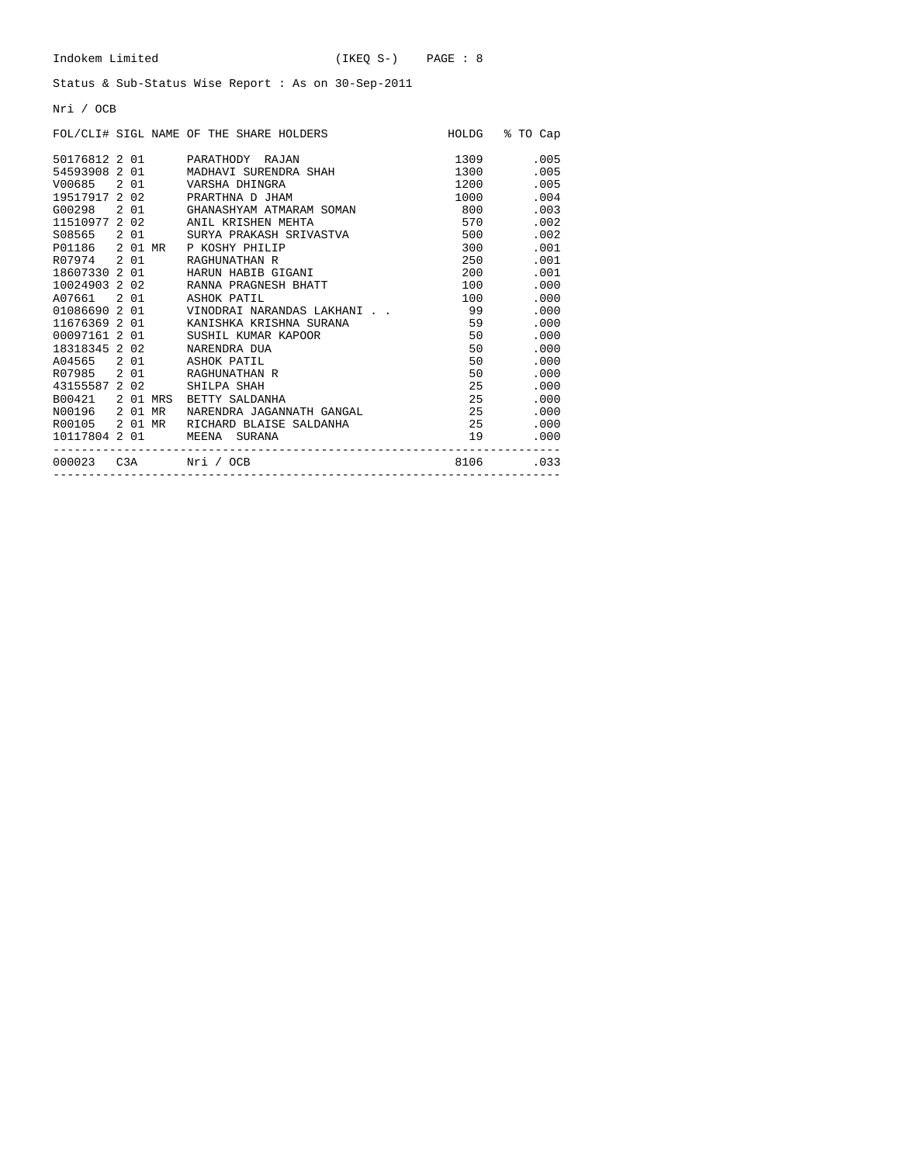Nri / OCB

|                |  | FOL/CLI# SIGL NAME OF THE SHARE HOLDERS |          | HOLDG % TO Cap                                                                                                                                                                                                                          |
|----------------|--|-----------------------------------------|----------|-----------------------------------------------------------------------------------------------------------------------------------------------------------------------------------------------------------------------------------------|
|                |  | 50176812 2 01 PARATHODY RAJAN           | 1309     | .005                                                                                                                                                                                                                                    |
|                |  | 54593908 2 01 MADHAVI SURENDRA SHAH     | 1300     | .005                                                                                                                                                                                                                                    |
|                |  | V00685 2 01 VARSHA DHINGRA              | 1200     | .005                                                                                                                                                                                                                                    |
|                |  | 19517917 2 02 PRARTHNA D JHAM           | 1000 000 | .004                                                                                                                                                                                                                                    |
|                |  | G00298 2 01 GHANASHYAM ATMARAM SOMAN    | 800      | .003                                                                                                                                                                                                                                    |
|                |  | 11510977 2 02 ANIL KRISHEN MEHTA        | 570      | .002                                                                                                                                                                                                                                    |
|                |  | S08565 2 01 SURYA PRAKASH SRIVASTVA     | 500      | .002                                                                                                                                                                                                                                    |
|                |  | P01186 2 01 MR P KOSHY PHILIP           |          | 300 000<br>.001                                                                                                                                                                                                                         |
|                |  | R07974 2 01 RAGHUNATHAN R               |          | .001                                                                                                                                                                                                                                    |
|                |  | 18607330 2 01 HARUN HABIB GIGANI        |          | 200 — 200 — 200 — 200 — 200 — 200 — 200 — 200 — 200 — 200 — 200 — 200 — 200 — 200 — 200 — 200 — 200 — 200 — 200 — 200 — 200 — 200 — 200 — 200 — 200 — 200 — 200 — 200 — 200 — 200 — 200 — 200 — 200 — 200 — 200 — 200 — 200 — 2<br>.001 |
|                |  | 10024903 2 02 RANNA PRAGNESH BHATT      |          | .000<br>100 000                                                                                                                                                                                                                         |
|                |  | A07661 2 01 ASHOK PATIL                 |          | .000<br>100 000                                                                                                                                                                                                                         |
|                |  |                                         |          | .000                                                                                                                                                                                                                                    |
|                |  | 11676369 2 01 KANISHKA KRISHNA SURANA   | 59       | .000                                                                                                                                                                                                                                    |
|                |  | 00097161 2 01 SUSHIL KUMAR KAPOOR       | 50       | .000                                                                                                                                                                                                                                    |
|                |  | 18318345 2 02 NARENDRA DUA              |          | 50 7<br>.000                                                                                                                                                                                                                            |
|                |  | A04565 2 01 ASHOK PATIL                 |          | 50 7<br>.000                                                                                                                                                                                                                            |
|                |  | R07985 2 01 RAGHUNATHAN R               |          | 50 — 1<br>.000                                                                                                                                                                                                                          |
|                |  | 43155587 2 02 SHILPA SHAH               |          | 25<br>.000                                                                                                                                                                                                                              |
|                |  | B00421 2 01 MRS BETTY SALDANHA          |          | 25<br>.000                                                                                                                                                                                                                              |
| N00196 2 01 MR |  | NARENDRA JAGANNATH GANGAL               | 25       | .000                                                                                                                                                                                                                                    |
|                |  | R00105 201 MR RICHARD BLAISE SALDANHA   | 25       | .000                                                                                                                                                                                                                                    |
| 10117804 2 01  |  | MEENA SURANA                            |          | 19<br>.000                                                                                                                                                                                                                              |
|                |  | 000023  C3A   Nri   / OCB               |          | 8106.033                                                                                                                                                                                                                                |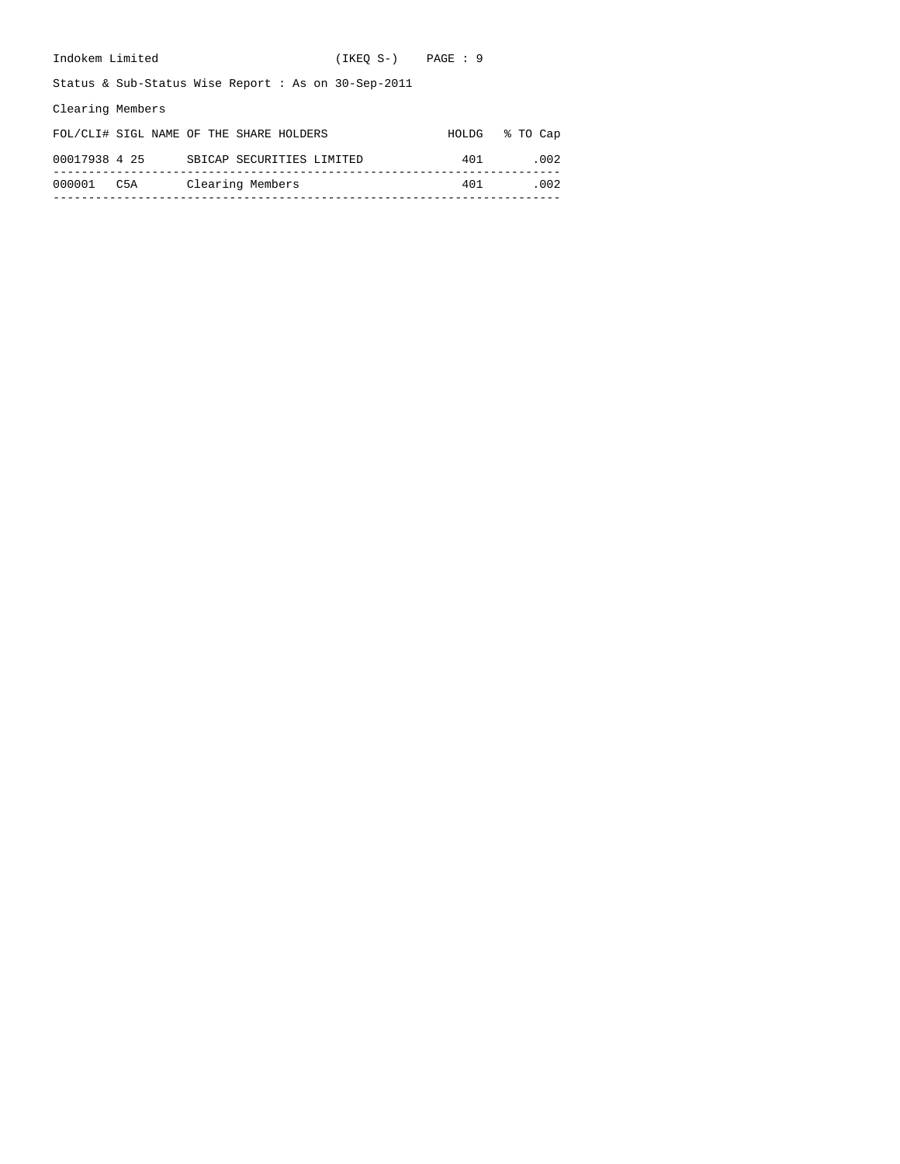| Indokem Limited  |                                                        | $(IKEO S-)$ $PAGE : 9$ |       |          |
|------------------|--------------------------------------------------------|------------------------|-------|----------|
|                  | Status & Sub-Status Wise Report : As on $30$ -Sep-2011 |                        |       |          |
| Clearing Members |                                                        |                        |       |          |
|                  | FOL/CLI# SIGL NAME OF THE SHARE HOLDERS                |                        | HOLDG | % TO Cap |
| 00017938 4 25    | SBICAP SECURITIES LIMITED                              |                        | 401   | .002     |
| C5A<br>000001    | Clearing Members                                       |                        | 401   | .002     |
|                  |                                                        |                        |       |          |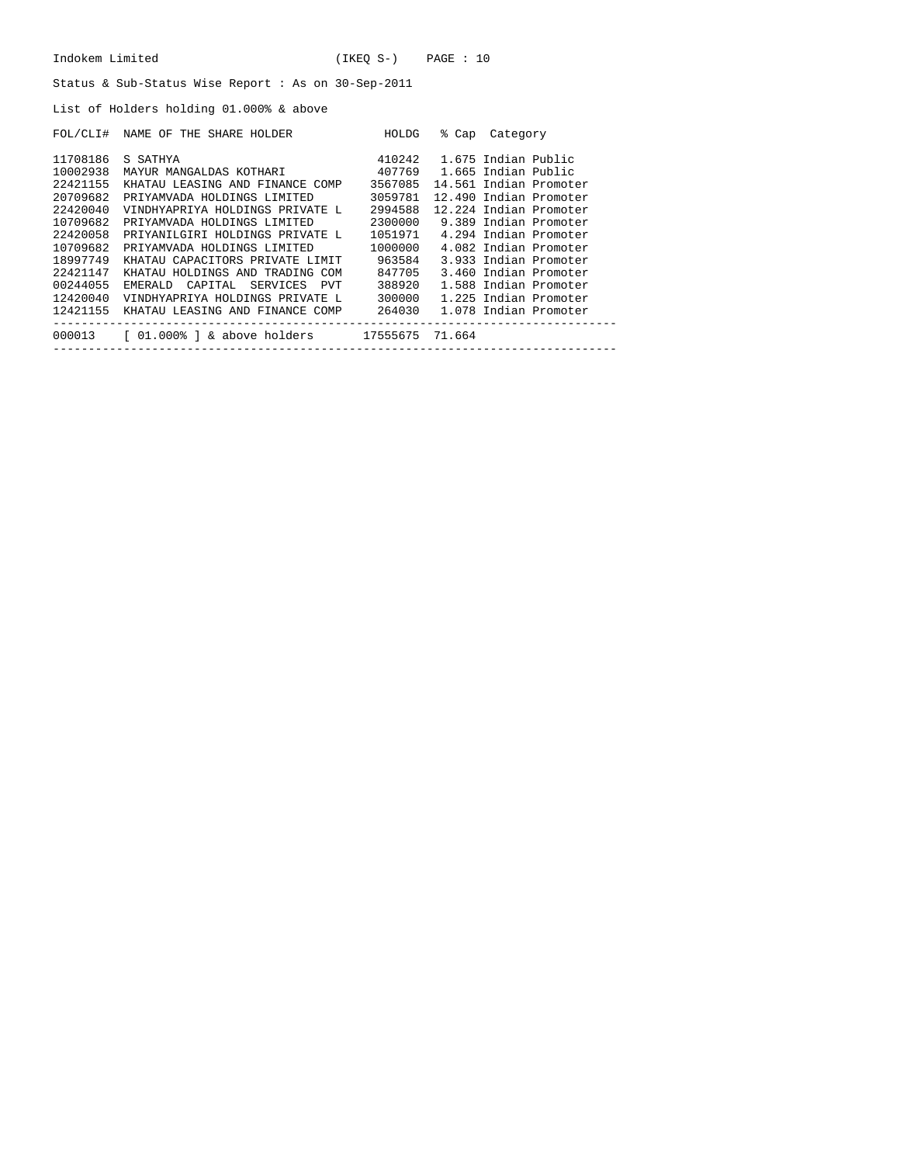| Indokem Limited                                    | (IKEO S-) | PAGE : 10 |
|----------------------------------------------------|-----------|-----------|
| Status & Sub-Status Wise Report: As on 30-Sep-2011 |           |           |

List of Holders holding 01.000% & above

| FOL/CLI# | NAME OF THE SHARE HOLDER        | HOLDG    | % Cap  | Category               |
|----------|---------------------------------|----------|--------|------------------------|
| 11708186 | S SATHYA                        | 410242   |        | 1.675 Indian Public    |
| 10002938 | MAYUR MANGALDAS KOTHARI         | 407769   |        | 1.665 Indian Public    |
| 22421155 | KHATAU LEASING AND FINANCE COMP | 3567085  |        | 14.561 Indian Promoter |
| 20709682 | PRIYAMVADA HOLDINGS LIMITED     | 3059781  |        | 12.490 Indian Promoter |
| 22420040 | VINDHYAPRIYA HOLDINGS PRIVATE L | 2994588  |        | 12.224 Indian Promoter |
| 10709682 | PRIYAMVADA HOLDINGS LIMITED     | 2300000  |        | 9.389 Indian Promoter  |
| 22420058 | PRIYANILGIRI HOLDINGS PRIVATE L | 1051971  |        | 4.294 Indian Promoter  |
| 10709682 | PRIYAMVADA HOLDINGS LIMITED     | 1000000  |        | 4.082 Indian Promoter  |
| 18997749 | KHATAU CAPACITORS PRIVATE LIMIT | 963584   |        | 3.933 Indian Promoter  |
| 22421147 | KHATAU HOLDINGS AND TRADING COM | 847705   |        | 3.460 Indian Promoter  |
| 00244055 | EMERALD CAPITAL SERVICES PVT    | 388920   |        | 1.588 Indian Promoter  |
| 12420040 | VINDHYAPRIYA HOLDINGS PRIVATE L | 300000   |        | 1.225 Indian Promoter  |
| 12421155 | KHATAU LEASING AND FINANCE COMP | 264030   |        | 1.078 Indian Promoter  |
| 000013   | [ 01.000% ] & above holders     | 17555675 | 71.664 |                        |
|          |                                 |          |        |                        |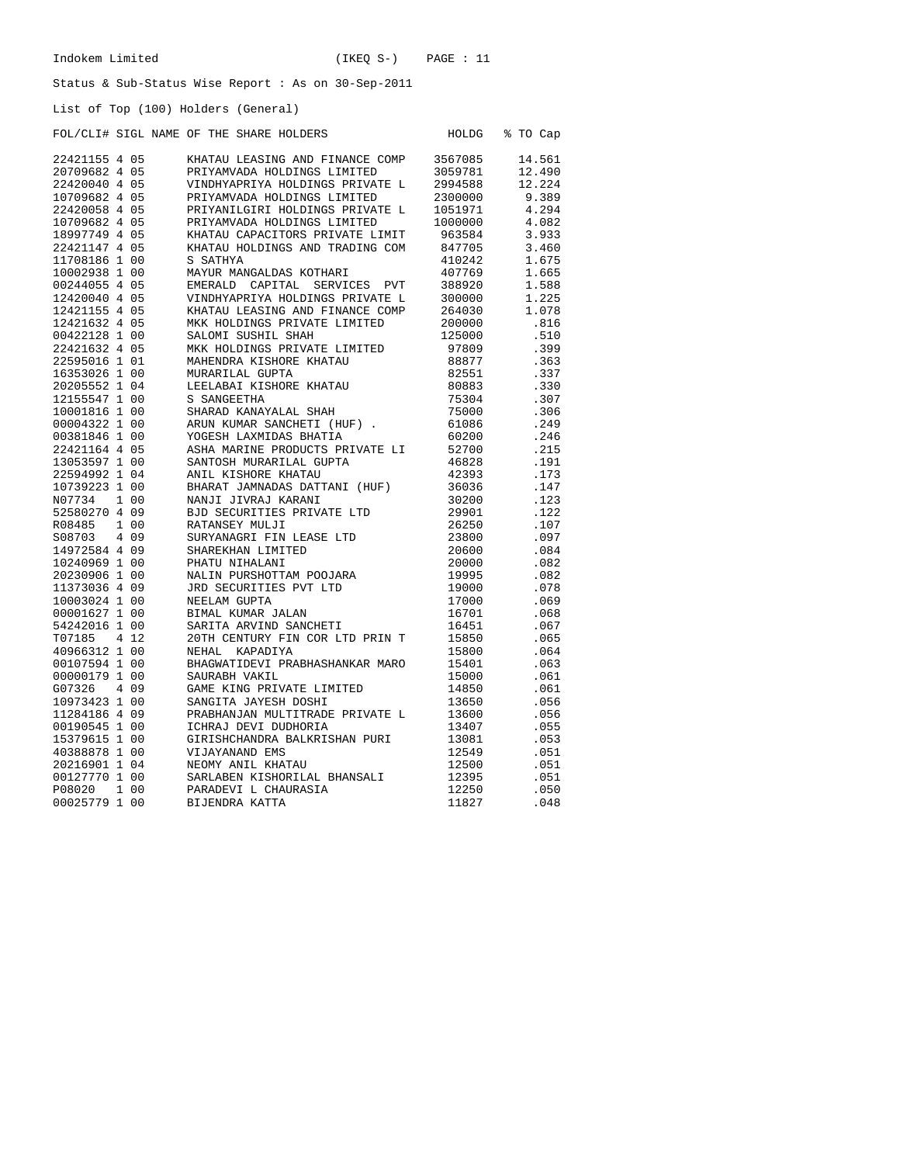List of Top (100) Holders (General)

## FOL/CLI# SIGL NAME OF THE SHARE HOLDERS HOLDG % TO Cap

| 22421155 4 05 |       | KHATAU LEASING AND FINANCE COMP           | 3567085        | 14.561       |
|---------------|-------|-------------------------------------------|----------------|--------------|
| 20709682 4 05 |       | PRIYAMVADA HOLDINGS LIMITED               | 3059781        | 12.490       |
| 22420040 4 05 |       | VINDHYAPRIYA HOLDINGS PRIVATE L           | 2994588        | 12.224       |
| 10709682 4 05 |       | PRIYAMVADA HOLDINGS LIMITED               | 2300000        | 9.389        |
| 22420058 4 05 |       | PRIYANILGIRI HOLDINGS PRIVATE L           | 1051971        | 4.294        |
| 10709682 4 05 |       | PRIYAMVADA HOLDINGS LIMITED               | 1000000        | 4.082        |
| 18997749 4 05 |       | KHATAU CAPACITORS PRIVATE LIMIT           | 963584         | 3.933        |
| 22421147 4 05 |       | KHATAU HOLDINGS AND TRADING COM           | 847705         | 3.460        |
| 11708186 1 00 |       | S SATHYA                                  | 410242         | 1.675        |
| 10002938 1 00 |       | MAYUR MANGALDAS KOTHARI                   | 407769         | 1.665        |
| 00244055 4 05 |       | EMERALD CAPITAL<br>SERVICES<br><b>PVT</b> | 388920         | 1.588        |
| 12420040 4 05 |       | VINDHYAPRIYA HOLDINGS PRIVATE L           | 300000         | 1.225        |
| 12421155 4 05 |       | KHATAU LEASING AND FINANCE COMP           | 264030         | 1.078        |
| 12421632 4 05 |       | MKK HOLDINGS PRIVATE LIMITED              | 200000         | .816         |
| 00422128 1 00 |       | SALOMI SUSHIL SHAH                        | 125000         | .510         |
| 22421632 4 05 |       | MKK HOLDINGS PRIVATE LIMITED              | 97809          | .399         |
| 22595016 1 01 |       | MAHENDRA KISHORE KHATAU                   | 88877          | .363         |
| 16353026 1 00 |       | MURARILAL GUPTA                           | 82551          | .337         |
| 20205552 1 04 |       | LEELABAI KISHORE KHATAU                   | 80883          | .330         |
| 12155547 1 00 |       | S SANGEETHA                               | 75304          | .307         |
| 10001816 1 00 |       | SHARAD KANAYALAL SHAH                     | 75000          | .306         |
| 00004322 1 00 |       | ARUN KUMAR SANCHETI (HUF)                 | 61086          | .249         |
| 00381846 1 00 |       | YOGESH LAXMIDAS BHATIA                    | 60200          | .246         |
| 22421164 4 05 |       | ASHA MARINE PRODUCTS PRIVATE LI           | 52700          | .215         |
| 13053597 1 00 |       | SANTOSH MURARILAL GUPTA                   | 46828          | .191         |
| 22594992 1 04 |       | ANIL KISHORE KHATAU                       | 42393          | .173         |
| 10739223 1 00 |       | BHARAT JAMNADAS DATTANI (HUF)             | 36036          | .147         |
| N07734        | 1 00  | NANJI JIVRAJ KARANI                       | 30200          | .123         |
| 52580270 4 09 |       | BJD SECURITIES PRIVATE LTD                | 29901          | .122         |
| R08485        | 1 0 0 | RATANSEY MULJI                            | 26250          | .107         |
| S08703        | 4 0 9 | SURYANAGRI FIN LEASE LTD                  | 23800          | .097         |
| 14972584 4 09 |       | SHAREKHAN LIMITED                         | 20600          | .084         |
| 10240969 1 00 |       | PHATU NIHALANI                            | 20000          | .082         |
| 20230906 1 00 |       | NALIN PURSHOTTAM POOJARA                  | 19995          | .082         |
| 11373036 4 09 |       | JRD SECURITIES PVT LTD                    | 19000          | .078         |
| 10003024 1 00 |       | NEELAM GUPTA                              | 17000          | .069         |
| 00001627 1 00 |       | BIMAL KUMAR JALAN                         | 16701          | .068         |
| 54242016 1 00 |       |                                           | 16451          |              |
| T07185        | 4 1 2 | SARITA ARVIND SANCHETI                    |                | .067         |
| 40966312 1 00 |       | 20TH CENTURY FIN COR LTD PRIN T           | 15850<br>15800 | .065<br>.064 |
|               |       | NEHAL KAPADIYA                            |                | .063         |
| 00107594 1 00 |       | BHAGWATIDEVI PRABHASHANKAR MARO           | 15401          |              |
| 00000179 1 00 |       | SAURABH VAKIL                             | 15000          | .061         |
| G07326        | 4 0 9 | GAME KING PRIVATE LIMITED                 | 14850          | .061         |
| 10973423 1 00 |       | SANGITA JAYESH DOSHI                      | 13650          | .056         |
| 11284186 4 09 |       | PRABHANJAN MULTITRADE PRIVATE L           | 13600          | .056         |
| 00190545 1 00 |       | ICHRAJ DEVI DUDHORIA                      | 13407          | .055         |
| 15379615 1 00 |       | GIRISHCHANDRA BALKRISHAN PURI             | 13081          | .053         |
| 40388878 1 00 |       | VIJAYANAND EMS                            | 12549          | .051         |
| 20216901 1 04 |       | NEOMY ANIL KHATAU                         | 12500          | .051         |
| 00127770 1 00 |       | SARLABEN KISHORILAL BHANSALI              | 12395          | .051         |
| P08020        | 1 0 0 | PARADEVI L CHAURASIA                      | 12250          | .050         |
| 00025779 1 00 |       | BIJENDRA KATTA                            | 11827          | .048         |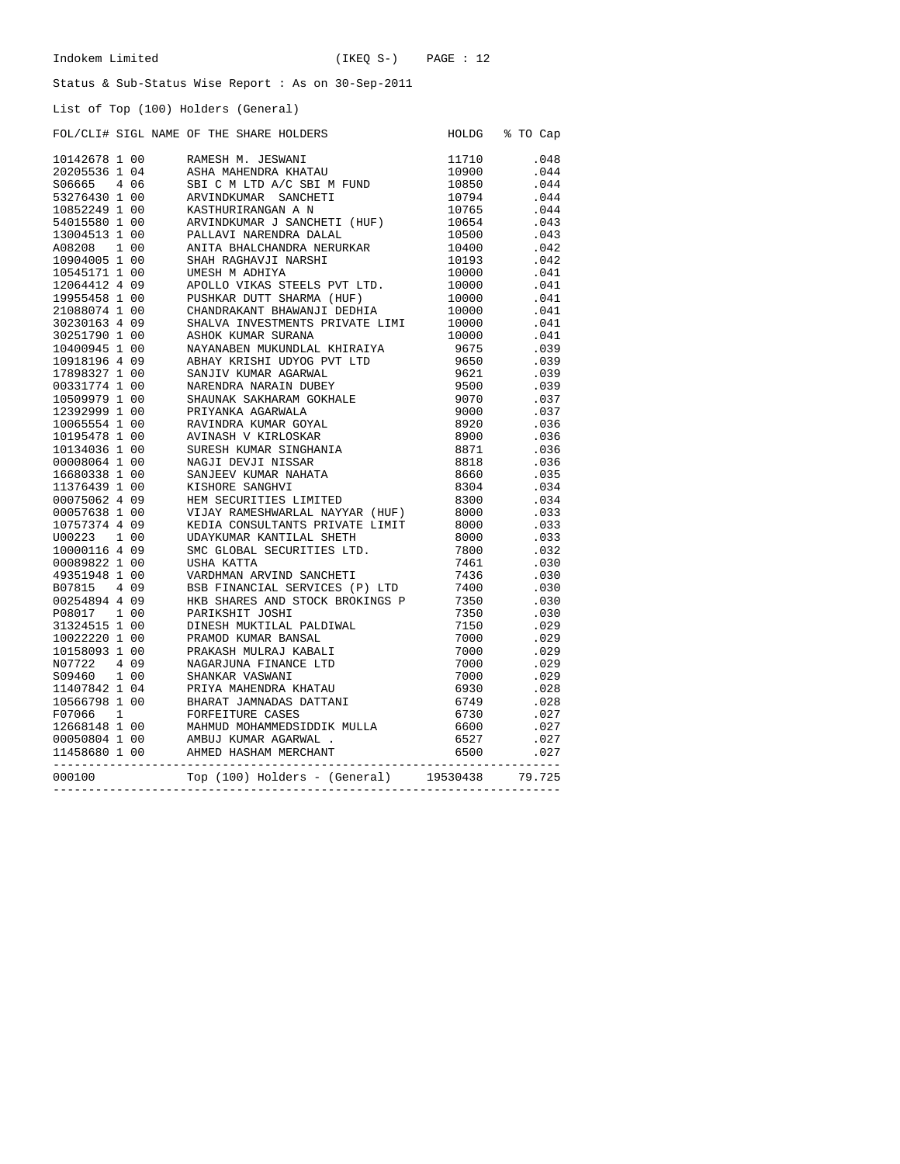HOLDG % TO Cap

### Status & Sub-Status Wise Report : As on 30-Sep-2011

List of Top (100) Holders (General)

| FOL/CLI# SIGL NAME OF THE SHARE HOLDERS |  |  |  |  |  |  |  |
|-----------------------------------------|--|--|--|--|--|--|--|
|-----------------------------------------|--|--|--|--|--|--|--|

|        |  |                                                                                                                                                                                                                                           | $.034$<br>$.034$ |
|--------|--|-------------------------------------------------------------------------------------------------------------------------------------------------------------------------------------------------------------------------------------------|------------------|
|        |  |                                                                                                                                                                                                                                           |                  |
|        |  |                                                                                                                                                                                                                                           |                  |
|        |  |                                                                                                                                                                                                                                           |                  |
|        |  |                                                                                                                                                                                                                                           |                  |
|        |  |                                                                                                                                                                                                                                           |                  |
|        |  |                                                                                                                                                                                                                                           |                  |
|        |  |                                                                                                                                                                                                                                           |                  |
|        |  |                                                                                                                                                                                                                                           |                  |
|        |  |                                                                                                                                                                                                                                           |                  |
|        |  |                                                                                                                                                                                                                                           |                  |
|        |  |                                                                                                                                                                                                                                           |                  |
|        |  |                                                                                                                                                                                                                                           |                  |
|        |  |                                                                                                                                                                                                                                           |                  |
|        |  |                                                                                                                                                                                                                                           |                  |
|        |  |                                                                                                                                                                                                                                           |                  |
|        |  |                                                                                                                                                                                                                                           |                  |
|        |  |                                                                                                                                                                                                                                           |                  |
|        |  |                                                                                                                                                                                                                                           |                  |
|        |  |                                                                                                                                                                                                                                           |                  |
|        |  |                                                                                                                                                                                                                                           |                  |
|        |  |                                                                                                                                                                                                                                           | $.27$<br>$.027$  |
| 000100 |  | 10142678 100<br>1044278 100 PAMBEM N. JEMANI 11710 104468<br>2020553 5 104 ASBEM N. JEMANI 11710 10450<br>2020553 4 106 SRVISINGNAR SAMCBETI<br>107900 30447 10000 ANVIENDENCHAR SAMCBETI<br>10794 10444 100 ANVIENDENCHAR SAMCBETI<br>10 |                  |
|        |  |                                                                                                                                                                                                                                           |                  |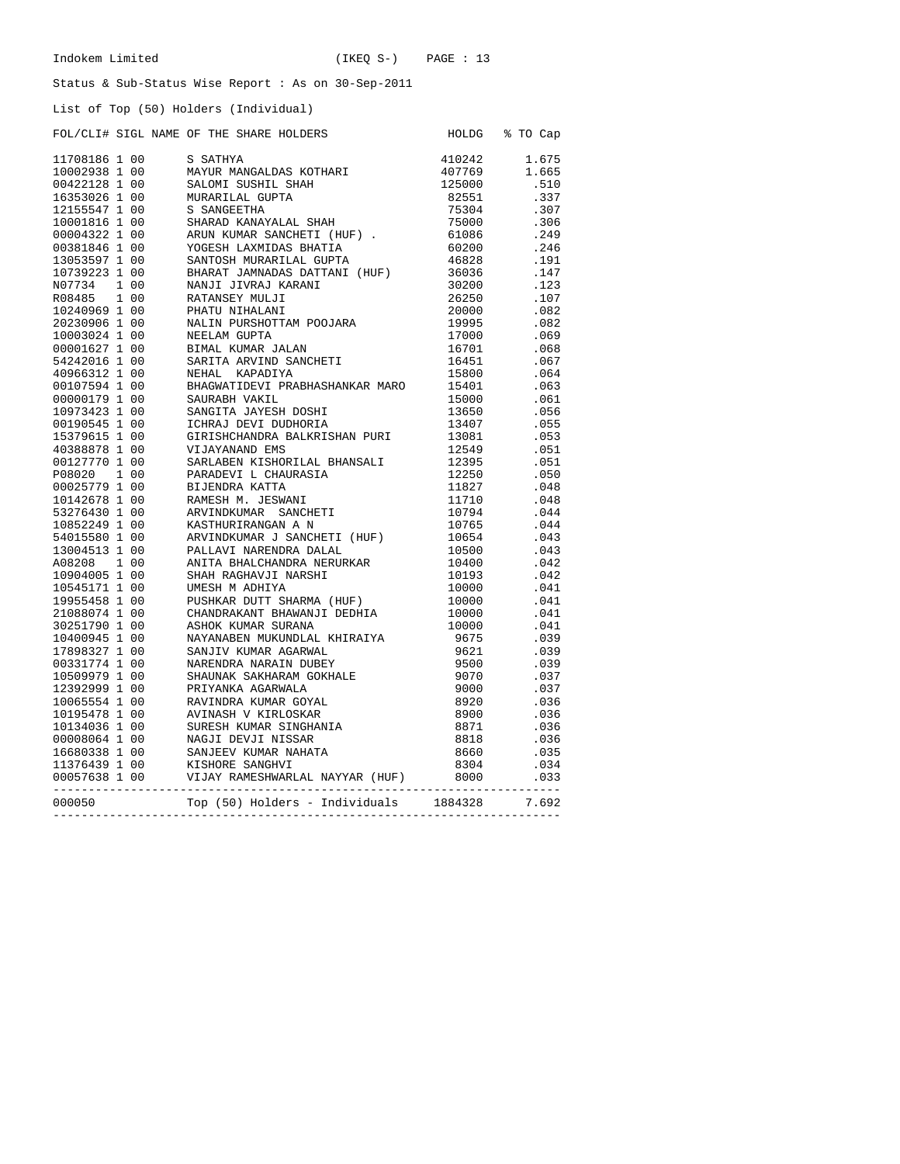# List of Top (50) Holders (Individual)

|        |  | LIST OI TOP (50) HOLGETS (INGIVIQUAL)                                                                                                                                                                                                                                                      |         |                |
|--------|--|--------------------------------------------------------------------------------------------------------------------------------------------------------------------------------------------------------------------------------------------------------------------------------------------|---------|----------------|
|        |  | FOL/CLI# SIGL NAME OF THE SHARE HOLDERS<br>POL/CLIM STOL NAME OF THE SHARE HOLDDER MOLTAN (1991145)<br>117091145 100 6 SANONI (19911411 STOL 1992)<br>11709124 100 6 SANONI SHAH<br>1000223 100 6 SANONI SHAH<br>12855024 100 6 SANONI SHAH<br>12855024 100 6 SANONI SHAH<br>1295000 6 SAN |         | HOLDG % TO Cap |
|        |  |                                                                                                                                                                                                                                                                                            |         | 410242 1.675   |
|        |  |                                                                                                                                                                                                                                                                                            |         | 1.665          |
|        |  |                                                                                                                                                                                                                                                                                            |         | .510           |
|        |  |                                                                                                                                                                                                                                                                                            |         | .337           |
|        |  |                                                                                                                                                                                                                                                                                            |         | .307           |
|        |  |                                                                                                                                                                                                                                                                                            |         | .306           |
|        |  |                                                                                                                                                                                                                                                                                            |         | .249           |
|        |  |                                                                                                                                                                                                                                                                                            |         | .246           |
|        |  |                                                                                                                                                                                                                                                                                            |         | .191           |
|        |  |                                                                                                                                                                                                                                                                                            |         | .147           |
|        |  |                                                                                                                                                                                                                                                                                            |         | .123           |
|        |  |                                                                                                                                                                                                                                                                                            |         |                |
|        |  |                                                                                                                                                                                                                                                                                            |         | .107           |
|        |  |                                                                                                                                                                                                                                                                                            |         | .082           |
|        |  |                                                                                                                                                                                                                                                                                            |         | .082           |
|        |  |                                                                                                                                                                                                                                                                                            |         | .069           |
|        |  |                                                                                                                                                                                                                                                                                            |         | .068           |
|        |  |                                                                                                                                                                                                                                                                                            |         | .067           |
|        |  |                                                                                                                                                                                                                                                                                            |         | .064           |
|        |  |                                                                                                                                                                                                                                                                                            |         | .063           |
|        |  |                                                                                                                                                                                                                                                                                            |         | .061           |
|        |  |                                                                                                                                                                                                                                                                                            |         | .056           |
|        |  |                                                                                                                                                                                                                                                                                            |         | .055           |
|        |  |                                                                                                                                                                                                                                                                                            |         | .053           |
|        |  |                                                                                                                                                                                                                                                                                            |         | .051           |
|        |  |                                                                                                                                                                                                                                                                                            |         | .051           |
|        |  |                                                                                                                                                                                                                                                                                            |         | .050           |
|        |  |                                                                                                                                                                                                                                                                                            |         | .048           |
|        |  |                                                                                                                                                                                                                                                                                            |         | .048           |
|        |  |                                                                                                                                                                                                                                                                                            |         | .044           |
|        |  |                                                                                                                                                                                                                                                                                            |         | .044           |
|        |  |                                                                                                                                                                                                                                                                                            |         | .043           |
|        |  |                                                                                                                                                                                                                                                                                            |         | .043           |
|        |  |                                                                                                                                                                                                                                                                                            |         | .042           |
|        |  |                                                                                                                                                                                                                                                                                            |         | .042           |
|        |  |                                                                                                                                                                                                                                                                                            |         | .041           |
|        |  |                                                                                                                                                                                                                                                                                            |         | .041           |
|        |  |                                                                                                                                                                                                                                                                                            |         | .041           |
|        |  |                                                                                                                                                                                                                                                                                            |         | .041           |
|        |  |                                                                                                                                                                                                                                                                                            |         | .039           |
|        |  |                                                                                                                                                                                                                                                                                            |         | .039           |
|        |  |                                                                                                                                                                                                                                                                                            |         | .039           |
|        |  |                                                                                                                                                                                                                                                                                            |         |                |
|        |  |                                                                                                                                                                                                                                                                                            |         | .037           |
|        |  |                                                                                                                                                                                                                                                                                            |         | .037           |
|        |  |                                                                                                                                                                                                                                                                                            |         | .036           |
|        |  |                                                                                                                                                                                                                                                                                            |         | .036           |
|        |  |                                                                                                                                                                                                                                                                                            |         | .036           |
|        |  |                                                                                                                                                                                                                                                                                            |         | .036           |
|        |  |                                                                                                                                                                                                                                                                                            |         | .035           |
|        |  |                                                                                                                                                                                                                                                                                            |         | .034           |
|        |  |                                                                                                                                                                                                                                                                                            |         | .033           |
| 000050 |  | Top (50) Holders - Individuals                                                                                                                                                                                                                                                             | 1884328 | 7.692          |

------------------------------------------------------------------------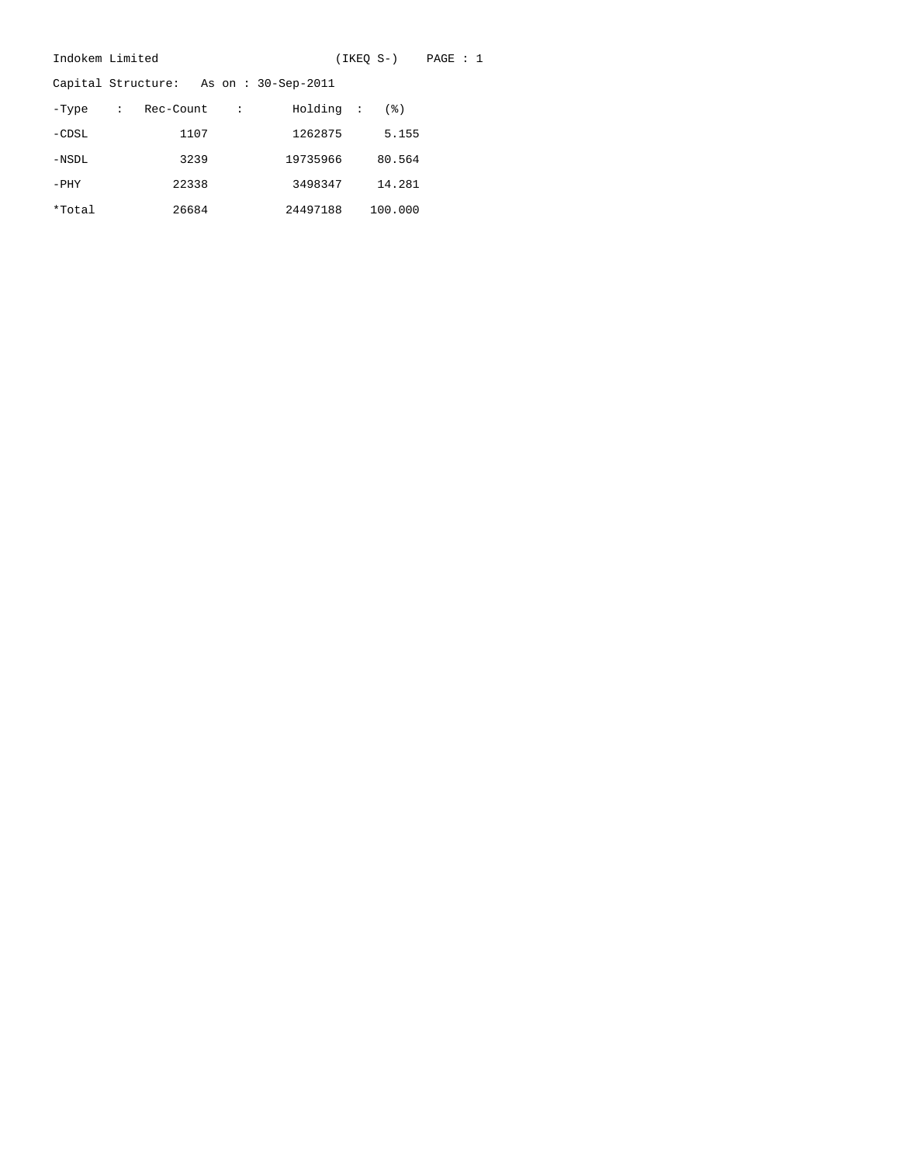| Indokem Limited |             |           | (IKEO S-)<br>PAGE : 1 |                                       |  |  |         |  |  |  |
|-----------------|-------------|-----------|-----------------------|---------------------------------------|--|--|---------|--|--|--|
|                 |             |           |                       | Capital Structure: As on: 30-Sep-2011 |  |  |         |  |  |  |
| -Type           | $\sim 1000$ | Rec-Count | $\cdot$ :             | Holding :                             |  |  | (3)     |  |  |  |
| $-CDSL$         |             | 1107      |                       | 1262875                               |  |  | 5.155   |  |  |  |
| $-NSDL$         |             | 3239      |                       | 19735966                              |  |  | 80.564  |  |  |  |
| $-PHY$          |             | 22338     |                       | 3498347                               |  |  | 14.281  |  |  |  |
| *Total          |             | 26684     |                       | 24497188                              |  |  | 100.000 |  |  |  |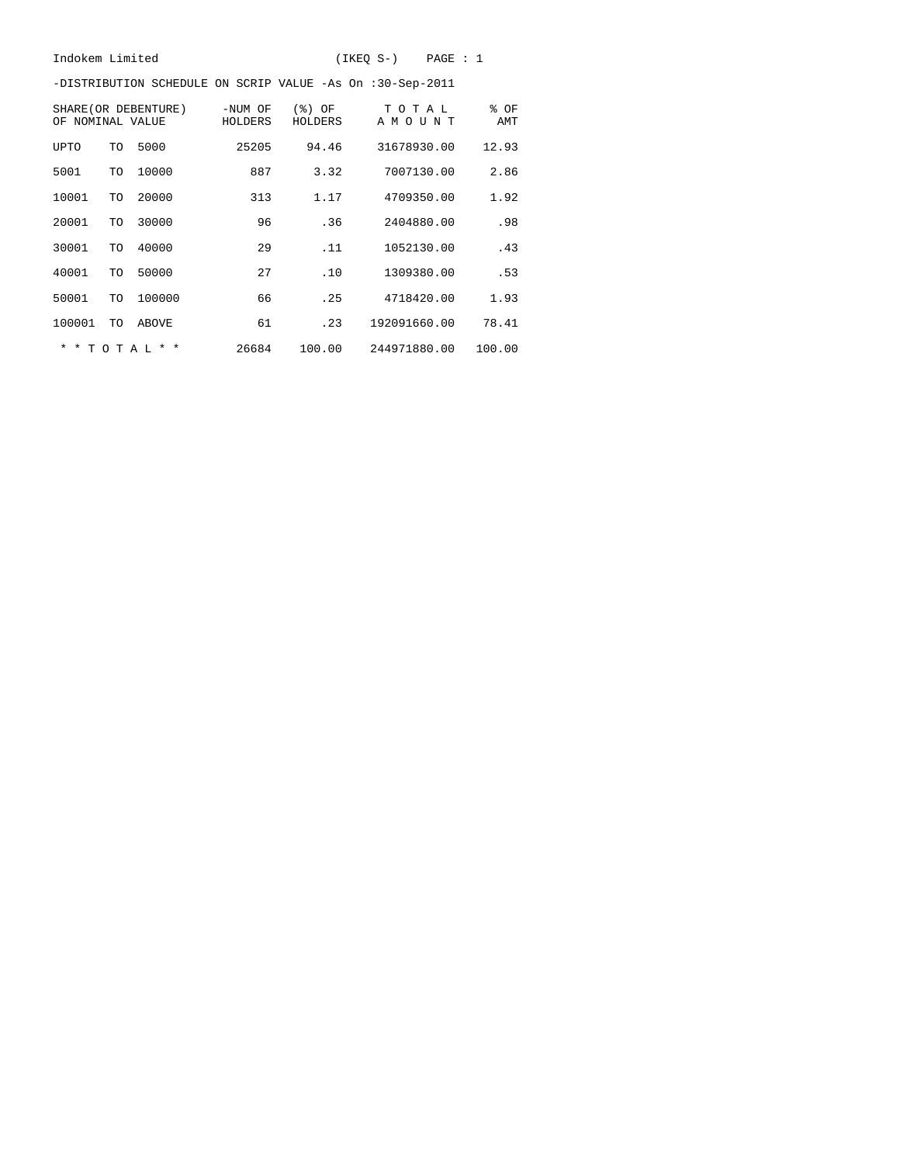-DISTRIBUTION SCHEDULE ON SCRIP VALUE -As On :30-Sep-2011

| ΩF                      | SHARE (OR DEBENTURE)<br>NOMINAL VALUE |                            | -NUM OF<br>HOLDERS | (응)<br>ΟF<br>HOLDERS | T<br>O T A L<br>A M O<br>ŢJ<br>ΝT | % OF<br>AMT |
|-------------------------|---------------------------------------|----------------------------|--------------------|----------------------|-----------------------------------|-------------|
| UPTO                    | TO                                    | 5000                       | 25205              | 94.46                | 31678930.00                       | 12.93       |
| 5001                    | TO                                    | 10000                      | 887                | 3.32                 | 7007130.00                        | 2.86        |
| 10001                   | TO                                    | 20000                      | 313                | 1.17                 | 4709350.00                        | 1.92        |
| 20001                   | TO                                    | 30000                      | 96                 | .36                  | 2404880.00                        | .98         |
| 30001                   | TO                                    | 40000                      | 29                 | .11                  | 1052130.00                        | .43         |
| 40001                   | TO                                    | 50000                      | 27                 | .10                  | 1309380.00                        | .53         |
| 50001                   | TO                                    | 100000                     | 66                 | .25                  | 4718420.00                        | 1.93        |
| 100001                  | TO                                    | ABOVE                      | 61                 | .23                  | 192091660.00                      | 78.41       |
| $\star$<br>$\ast$<br>T. | $\Omega$                              | $\star$<br>$\ast$<br>T A L | 26684              | 100.00               | 244971880.00                      | 100.00      |